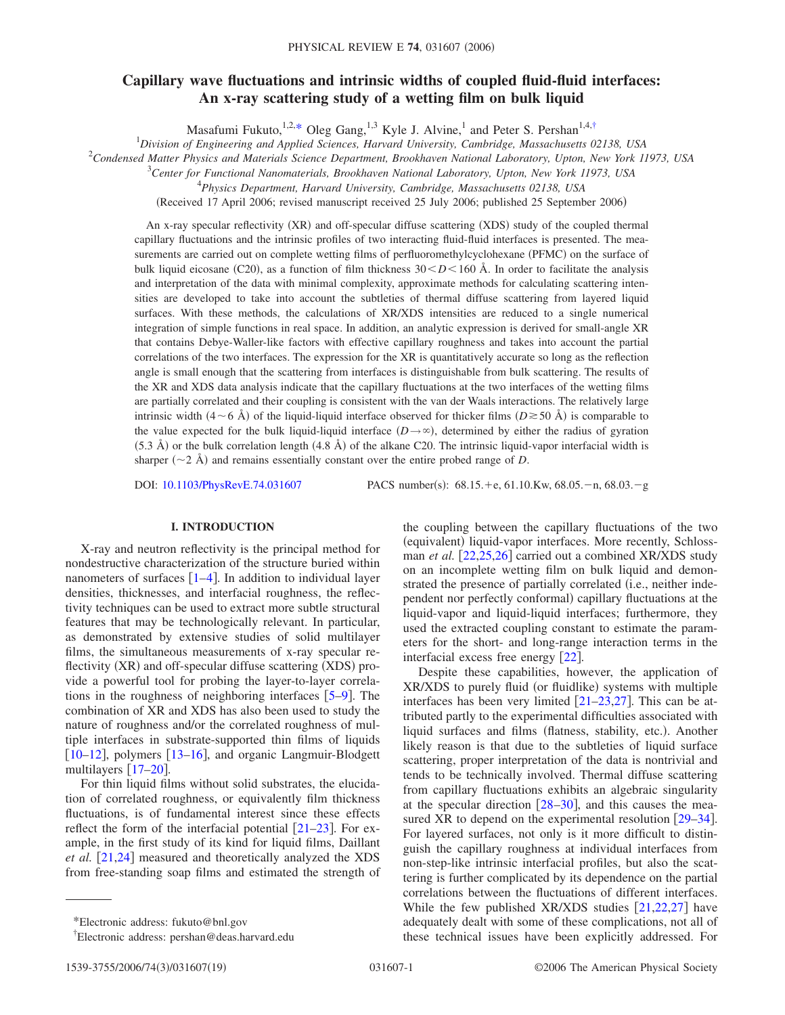# **Capillary wave fluctuations and intrinsic widths of coupled fluid-fluid interfaces: An x-ray scattering study of a wetting film on bulk liquid**

Masafumi Fukuto,<sup>1,2[,\\*](#page-0-0)</sup> Oleg Gang,<sup>1,3</sup> Kyle J. Alvine,<sup>1</sup> and Peter S. Pershan<sup>1,4[,†](#page-0-1)</sup><br><sup>1</sup> Division of Engineering and Applied Sciences, Harvard University, Cambridge, Massachusetts 02138, USA

2 *Condensed Matter Physics and Materials Science Department, Brookhaven National Laboratory, Upton, New York 11973, USA*

3 *Center for Functional Nanomaterials, Brookhaven National Laboratory, Upton, New York 11973, USA*

4 *Physics Department, Harvard University, Cambridge, Massachusetts 02138, USA*

(Received 17 April 2006; revised manuscript received 25 July 2006; published 25 September 2006)

An x-ray specular reflectivity (XR) and off-specular diffuse scattering (XDS) study of the coupled thermal capillary fluctuations and the intrinsic profiles of two interacting fluid-fluid interfaces is presented. The measurements are carried out on complete wetting films of perfluoromethylcyclohexane (PFMC) on the surface of bulk liquid eicosane (C20), as a function of film thickness  $30 < D < 160$  Å. In order to facilitate the analysis and interpretation of the data with minimal complexity, approximate methods for calculating scattering intensities are developed to take into account the subtleties of thermal diffuse scattering from layered liquid surfaces. With these methods, the calculations of XR/XDS intensities are reduced to a single numerical integration of simple functions in real space. In addition, an analytic expression is derived for small-angle XR that contains Debye-Waller-like factors with effective capillary roughness and takes into account the partial correlations of the two interfaces. The expression for the XR is quantitatively accurate so long as the reflection angle is small enough that the scattering from interfaces is distinguishable from bulk scattering. The results of the XR and XDS data analysis indicate that the capillary fluctuations at the two interfaces of the wetting films are partially correlated and their coupling is consistent with the van der Waals interactions. The relatively large intrinsic width  $(4 \sim 6 \text{ Å})$  of the liquid-liquid interface observed for thicker films  $(D \ge 50 \text{ Å})$  is comparable to the value expected for the bulk liquid-liquid interface  $(D \rightarrow \infty)$ , determined by either the radius of gyration  $(5.3 \text{ Å})$  or the bulk correlation length  $(4.8 \text{ Å})$  of the alkane C20. The intrinsic liquid-vapor interfacial width is sharper  $(\sim 2 \text{ Å})$  and remains essentially constant over the entire probed range of *D*.

DOI: [10.1103/PhysRevE.74.031607](http://dx.doi.org/10.1103/PhysRevE.74.031607)

PACS number(s):  $68.15.+e, 61.10.Kw, 68.05.-n, 68.03.-g$ 

# **I. INTRODUCTION**

X-ray and neutron reflectivity is the principal method for nondestructive characterization of the structure buried within nanometers of surfaces  $\lceil 1-4 \rceil$  $\lceil 1-4 \rceil$  $\lceil 1-4 \rceil$ . In addition to individual layer densities, thicknesses, and interfacial roughness, the reflectivity techniques can be used to extract more subtle structural features that may be technologically relevant. In particular, as demonstrated by extensive studies of solid multilayer films, the simultaneous measurements of x-ray specular reflectivity (XR) and off-specular diffuse scattering (XDS) provide a powerful tool for probing the layer-to-layer correlations in the roughness of neighboring interfaces  $[5-9]$  $[5-9]$  $[5-9]$ . The combination of XR and XDS has also been used to study the nature of roughness and/or the correlated roughness of multiple interfaces in substrate-supported thin films of liquids [10](#page-16-4)[–12](#page-16-5), polymers [13](#page-17-0)[–16](#page-17-1), and organic Langmuir-Blodgett multilayers  $[17–20]$  $[17–20]$  $[17–20]$  $[17–20]$ .

For thin liquid films without solid substrates, the elucidation of correlated roughness, or equivalently film thickness fluctuations, is of fundamental interest since these effects reflect the form of the interfacial potential  $\left[21-23\right]$  $\left[21-23\right]$  $\left[21-23\right]$ . For example, in the first study of its kind for liquid films, Daillant *et al.* [[21,](#page-17-4)[24](#page-17-6)] measured and theoretically analyzed the XDS from free-standing soap films and estimated the strength of the coupling between the capillary fluctuations of the two (equivalent) liquid-vapor interfaces. More recently, Schlossman *et al.* [[22](#page-17-7)[,25](#page-17-8)[,26](#page-17-9)] carried out a combined XR/XDS study on an incomplete wetting film on bulk liquid and demonstrated the presence of partially correlated (i.e., neither independent nor perfectly conformal) capillary fluctuations at the liquid-vapor and liquid-liquid interfaces; furthermore, they used the extracted coupling constant to estimate the parameters for the short- and long-range interaction terms in the interfacial excess free energy [[22](#page-17-7)].

Despite these capabilities, however, the application of XR/XDS to purely fluid (or fluidlike) systems with multiple interfaces has been very limited  $[21-23,27]$  $[21-23,27]$  $[21-23,27]$  $[21-23,27]$ . This can be attributed partly to the experimental difficulties associated with liquid surfaces and films (flatness, stability, etc.). Another likely reason is that due to the subtleties of liquid surface scattering, proper interpretation of the data is nontrivial and tends to be technically involved. Thermal diffuse scattering from capillary fluctuations exhibits an algebraic singularity at the specular direction  $[28–30]$  $[28–30]$  $[28–30]$  $[28–30]$ , and this causes the measured XR to depend on the experimental resolution  $\lceil 29-34 \rceil$  $\lceil 29-34 \rceil$  $\lceil 29-34 \rceil$ . For layered surfaces, not only is it more difficult to distinguish the capillary roughness at individual interfaces from non-step-like intrinsic interfacial profiles, but also the scattering is further complicated by its dependence on the partial correlations between the fluctuations of different interfaces. While the few published XR/XDS studies  $[21,22,27]$  $[21,22,27]$  $[21,22,27]$  $[21,22,27]$  $[21,22,27]$  have adequately dealt with some of these complications, not all of these technical issues have been explicitly addressed. For

<span id="page-0-0"></span><sup>\*</sup>Electronic address: fukuto@bnl.gov

<span id="page-0-1"></span><sup>†</sup> Electronic address: pershan@deas.harvard.edu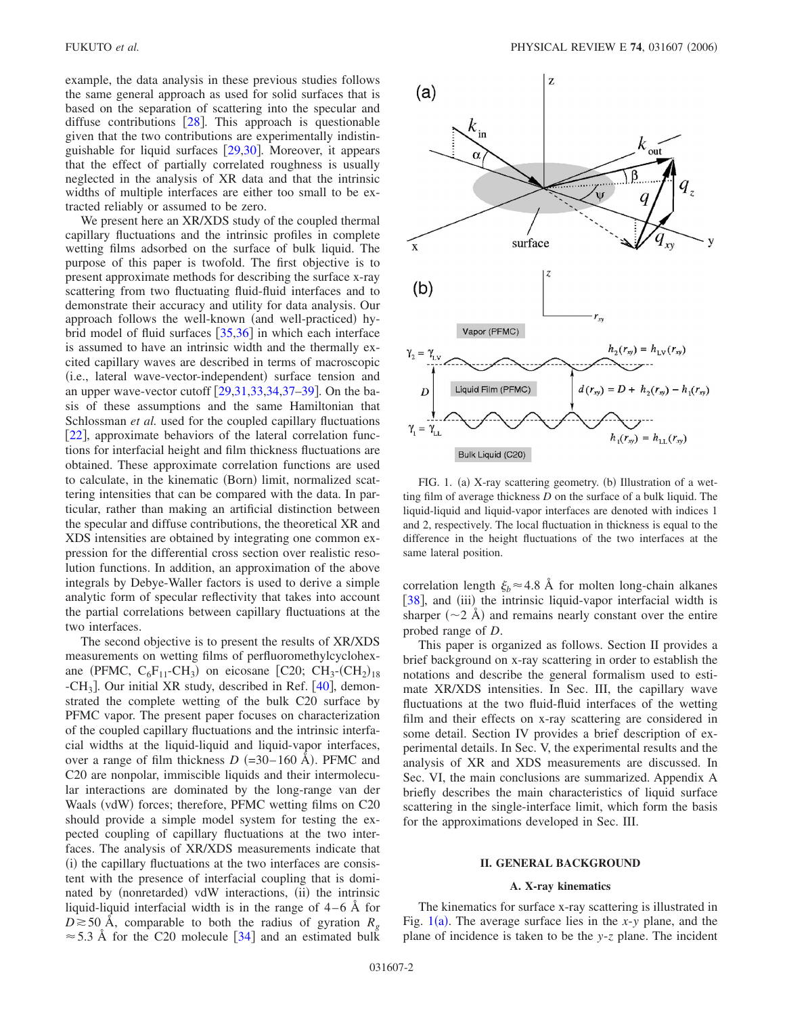example, the data analysis in these previous studies follows the same general approach as used for solid surfaces that is based on the separation of scattering into the specular and diffuse contributions  $\lceil 28 \rceil$  $\lceil 28 \rceil$  $\lceil 28 \rceil$ . This approach is questionable given that the two contributions are experimentally indistinguishable for liquid surfaces  $[29,30]$  $[29,30]$  $[29,30]$  $[29,30]$ . Moreover, it appears that the effect of partially correlated roughness is usually neglected in the analysis of XR data and that the intrinsic widths of multiple interfaces are either too small to be extracted reliably or assumed to be zero.

We present here an XR/XDS study of the coupled thermal capillary fluctuations and the intrinsic profiles in complete wetting films adsorbed on the surface of bulk liquid. The purpose of this paper is twofold. The first objective is to present approximate methods for describing the surface x-ray scattering from two fluctuating fluid-fluid interfaces and to demonstrate their accuracy and utility for data analysis. Our approach follows the well-known (and well-practiced) hybrid model of fluid surfaces  $\left[35,36\right]$  $\left[35,36\right]$  $\left[35,36\right]$  $\left[35,36\right]$  in which each interface is assumed to have an intrinsic width and the thermally excited capillary waves are described in terms of macroscopic (i.e., lateral wave-vector-independent) surface tension and an upper wave-vector cutoff  $\left[29,31,33,34,37-39\right]$  $\left[29,31,33,34,37-39\right]$  $\left[29,31,33,34,37-39\right]$  $\left[29,31,33,34,37-39\right]$  $\left[29,31,33,34,37-39\right]$  $\left[29,31,33,34,37-39\right]$  $\left[29,31,33,34,37-39\right]$ . On the basis of these assumptions and the same Hamiltonian that Schlossman *et al.* used for the coupled capillary fluctuations [[22](#page-17-7)], approximate behaviors of the lateral correlation functions for interfacial height and film thickness fluctuations are obtained. These approximate correlation functions are used to calculate, in the kinematic (Born) limit, normalized scattering intensities that can be compared with the data. In particular, rather than making an artificial distinction between the specular and diffuse contributions, the theoretical XR and XDS intensities are obtained by integrating one common expression for the differential cross section over realistic resolution functions. In addition, an approximation of the above integrals by Debye-Waller factors is used to derive a simple analytic form of specular reflectivity that takes into account the partial correlations between capillary fluctuations at the two interfaces.

The second objective is to present the results of XR/XDS measurements on wetting films of perfluoromethylcyclohexane (PFMC,  $C_6F_{11}$ -CH<sub>3</sub>) on eicosane [C20; CH<sub>3</sub>-(CH<sub>2</sub>)<sub>18</sub>  $-CH<sub>3</sub>$ . Our initial XR study, described in Ref. [[40](#page-17-21)], demonstrated the complete wetting of the bulk C20 surface by PFMC vapor. The present paper focuses on characterization of the coupled capillary fluctuations and the intrinsic interfacial widths at the liquid-liquid and liquid-vapor interfaces, over a range of film thickness  $D = 30-160$  Å). PFMC and C20 are nonpolar, immiscible liquids and their intermolecular interactions are dominated by the long-range van der Waals (vdW) forces; therefore, PFMC wetting films on C20 should provide a simple model system for testing the expected coupling of capillary fluctuations at the two interfaces. The analysis of XR/XDS measurements indicate that (i) the capillary fluctuations at the two interfaces are consistent with the presence of interfacial coupling that is dominated by (nonretarded) vdW interactions, (ii) the intrinsic liquid-liquid interfacial width is in the range of  $4-6$  Å for  $D \ge 50$  Å, comparable to both the radius of gyration  $R_g$  $\approx$  5.3 Å for the C20 molecule [[34](#page-17-14)] and an estimated bulk

<span id="page-1-0"></span>

FIG. 1. (a) X-ray scattering geometry. (b) Illustration of a wetting film of average thickness *D* on the surface of a bulk liquid. The liquid-liquid and liquid-vapor interfaces are denoted with indices 1 and 2, respectively. The local fluctuation in thickness is equal to the difference in the height fluctuations of the two interfaces at the same lateral position.

correlation length  $\xi_b \approx 4.8$  Å for molten long-chain alkanes [[38](#page-17-22)], and (iii) the intrinsic liquid-vapor interfacial width is sharper  $(\sim 2 \text{ Å})$  and remains nearly constant over the entire probed range of *D*.

This paper is organized as follows. Section II provides a brief background on x-ray scattering in order to establish the notations and describe the general formalism used to estimate XR/XDS intensities. In Sec. III, the capillary wave fluctuations at the two fluid-fluid interfaces of the wetting film and their effects on x-ray scattering are considered in some detail. Section IV provides a brief description of experimental details. In Sec. V, the experimental results and the analysis of XR and XDS measurements are discussed. In Sec. VI, the main conclusions are summarized. Appendix A briefly describes the main characteristics of liquid surface scattering in the single-interface limit, which form the basis for the approximations developed in Sec. III.

#### **II. GENERAL BACKGROUND**

### **A. X-ray kinematics**

The kinematics for surface x-ray scattering is illustrated in Fig.  $1(a)$  $1(a)$ . The average surface lies in the *x*-*y* plane, and the plane of incidence is taken to be the *y*-*z* plane. The incident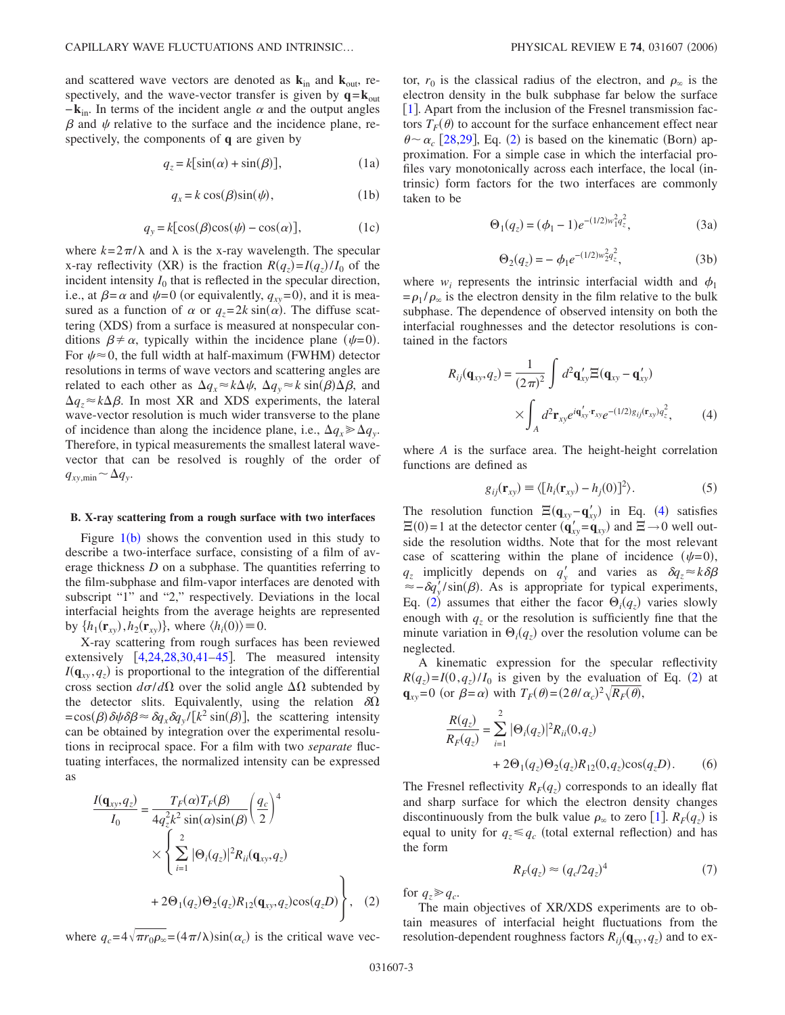and scattered wave vectors are denoted as  $\mathbf{k}_{in}$  and  $\mathbf{k}_{out}$ , respectively, and the wave-vector transfer is given by  $q = k_{out}$  $-\mathbf{k}_{in}$ . In terms of the incident angle  $\alpha$  and the output angles  $\beta$  and  $\psi$  relative to the surface and the incidence plane, respectively, the components of **q** are given by

$$
q_z = k[\sin(\alpha) + \sin(\beta)], \qquad (1a)
$$

$$
q_x = k \cos(\beta) \sin(\psi), \tag{1b}
$$

$$
q_y = k[\cos(\beta)\cos(\psi) - \cos(\alpha)], \qquad (1c)
$$

where  $k=2\pi/\lambda$  and  $\lambda$  is the x-ray wavelength. The specular x-ray reflectivity (XR) is the fraction  $R(q_z) = I(q_z)/I_0$  of the incident intensity  $I_0$  that is reflected in the specular direction, i.e., at  $\beta = \alpha$  and  $\psi = 0$  (or equivalently,  $q_{xy} = 0$ ), and it is measured as a function of  $\alpha$  or  $q_z = 2k \sin(\alpha)$ . The diffuse scattering (XDS) from a surface is measured at nonspecular conditions  $\beta \neq \alpha$ , typically within the incidence plane ( $\psi=0$ ). For  $\psi \approx 0$ , the full width at half-maximum (FWHM) detector resolutions in terms of wave vectors and scattering angles are related to each other as  $\Delta q_x \approx k \Delta \psi$ ,  $\Delta q_y \approx k \sin(\beta) \Delta \beta$ , and  $\Delta q_z \approx k \Delta \beta$ . In most XR and XDS experiments, the lateral wave-vector resolution is much wider transverse to the plane of incidence than along the incidence plane, i.e.,  $\Delta q_x \ge \Delta q_y$ . Therefore, in typical measurements the smallest lateral wavevector that can be resolved is roughly of the order of  $q_{xy,\text{min}} \sim \Delta q_y$ .

#### **B. X-ray scattering from a rough surface with two interfaces**

Figure  $1(b)$  $1(b)$  shows the convention used in this study to describe a two-interface surface, consisting of a film of average thickness *D* on a subphase. The quantities referring to the film-subphase and film-vapor interfaces are denoted with subscript "1" and "2," respectively. Deviations in the local interfacial heights from the average heights are represented by  $\{h_1(\mathbf{r}_{xy}), h_2(\mathbf{r}_{xy})\}$ , where  $\langle h_i(0) \rangle \equiv 0$ .

X-ray scattering from rough surfaces has been reviewed extensively  $[4,24,28,30,41-45]$  $[4,24,28,30,41-45]$  $[4,24,28,30,41-45]$  $[4,24,28,30,41-45]$  $[4,24,28,30,41-45]$  $[4,24,28,30,41-45]$  $[4,24,28,30,41-45]$  $[4,24,28,30,41-45]$ . The measured intensity  $I(\mathbf{q}_{xy}, q_z)$  is proportional to the integration of the differential cross section  $d\sigma/d\Omega$  over the solid angle  $\Delta\Omega$  subtended by the detector slits. Equivalently, using the relation  $\delta\Omega$  $= cos(\beta) \delta \psi \delta \beta \approx \delta q_x \delta q_y / [k^2 sin(\beta)],$  the scattering intensity can be obtained by integration over the experimental resolutions in reciprocal space. For a film with two *separate* fluctuating interfaces, the normalized intensity can be expressed as

<span id="page-2-0"></span>
$$
\frac{I(\mathbf{q}_{xy}, q_z)}{I_0} = \frac{T_F(\alpha)T_F(\beta)}{4q_z^2k^2 \sin(\alpha)\sin(\beta)} \left(\frac{q_c}{2}\right)^4
$$
  
 
$$
\times \left\{\sum_{i=1}^2 |\Theta_i(q_z)|^2 R_{ii}(\mathbf{q}_{xy}, q_z)
$$
  
+ 
$$
2\Theta_1(q_z)\Theta_2(q_z)R_{12}(\mathbf{q}_{xy}, q_z)\cos(q_z D)\right\},
$$
 (2)

where  $q_c = 4\sqrt{\pi r_0 \rho_\infty} = (4\pi/\lambda) \sin(\alpha_c)$  is the critical wave vec-

tor,  $r_0$  is the classical radius of the electron, and  $\rho_{\infty}$  is the electron density in the bulk subphase far below the surface [[1](#page-16-0)]. Apart from the inclusion of the Fresnel transmission factors  $T_F(\theta)$  to account for the surface enhancement effect near  $\theta \sim \alpha_c$  [[28,](#page-17-11)[29](#page-17-13)], Eq. ([2](#page-2-0)) is based on the kinematic (Born) approximation. For a simple case in which the interfacial profiles vary monotonically across each interface, the local (intrinsic) form factors for the two interfaces are commonly taken to be

$$
\Theta_1(q_z) = (\phi_1 - 1)e^{-(1/2)w_1^2 q_z^2},\tag{3a}
$$

$$
\Theta_2(q_z) = -\phi_1 e^{-(1/2)w_2^2 q_z^2},\tag{3b}
$$

<span id="page-2-3"></span>where  $w_i$  represents the intrinsic interfacial width and  $\phi_1$  $= \rho_1 / \rho_\infty$  is the electron density in the film relative to the bulk subphase. The dependence of observed intensity on both the interfacial roughnesses and the detector resolutions is contained in the factors

<span id="page-2-1"></span>
$$
R_{ij}(\mathbf{q}_{xy}, q_z) = \frac{1}{(2\pi)^2} \int d^2 \mathbf{q}'_{xy} \Xi(\mathbf{q}_{xy} - \mathbf{q}'_{xy})
$$

$$
\times \int_A d^2 \mathbf{r}_{xy} e^{i\mathbf{q}'_{xy} \cdot \mathbf{r}_{xy}} e^{-(1/2)g_{ij}(\mathbf{r}_{xy})q_z^2}, \qquad (4)
$$

where *A* is the surface area. The height-height correlation functions are defined as

$$
g_{ij}(\mathbf{r}_{xy}) \equiv \langle [h_i(\mathbf{r}_{xy}) - h_j(0)]^2 \rangle.
$$
 (5)

The resolution function  $\Xi(\mathbf{q}_{xy}-\mathbf{q}'_{xy})$  in Eq. ([4](#page-2-1)) satisfies  $\Xi(0)=1$  at the detector center  $(\mathbf{q}'_{xy} = \mathbf{q}_{xy})$  and  $\Xi \rightarrow 0$  well outside the resolution widths. Note that for the most relevant case of scattering within the plane of incidence  $(\psi=0)$ ,  $q_z$  implicitly depends on  $q'_y$  and varies as  $\delta q_z \approx k \delta \beta$  $\approx -\delta q_y'/\sin(\beta)$ . As is appropriate for typical experiments, Eq. ([2](#page-2-0)) assumes that either the facor  $\Theta_i(q_z)$  varies slowly enough with  $q<sub>z</sub>$  or the resolution is sufficiently fine that the minute variation in  $\Theta_i(q_z)$  over the resolution volume can be neglected.

A kinematic expression for the specular reflectivity  $R(q_z) = I(0, q_z)/I_0$  is given by the evaluation of Eq. ([2](#page-2-0)) at  $\mathbf{q}_{xy}=0$  (or  $\beta = \alpha$ ) with  $T_F(\theta) = (2\theta/\alpha_c)^2 \sqrt{R_F(\theta)}$ ,

<span id="page-2-2"></span>
$$
\frac{R(q_z)}{R_F(q_z)} = \sum_{i=1}^{2} |\Theta_i(q_z)|^2 R_{ii}(0, q_z)
$$
  
+ 2\Theta\_1(q\_z)\Theta\_2(q\_z)R\_{12}(0, q\_z)\cos(q\_z D). (6)

The Fresnel reflectivity  $R_F(q_z)$  corresponds to an ideally flat and sharp surface for which the electron density changes discontinuously from the bulk value  $\rho_{\infty}$  to zero [[1](#page-16-0)].  $R_F(q_z)$  is equal to unity for  $q_z \leq q_c$  (total external reflection) and has the form

$$
R_F(q_z) \approx (q_c/2q_z)^4 \tag{7}
$$

for  $q_z \geqslant q_c$ .

The main objectives of XR/XDS experiments are to obtain measures of interfacial height fluctuations from the resolution-dependent roughness factors  $R_{ij}(\mathbf{q}_{xy}, q_z)$  and to ex-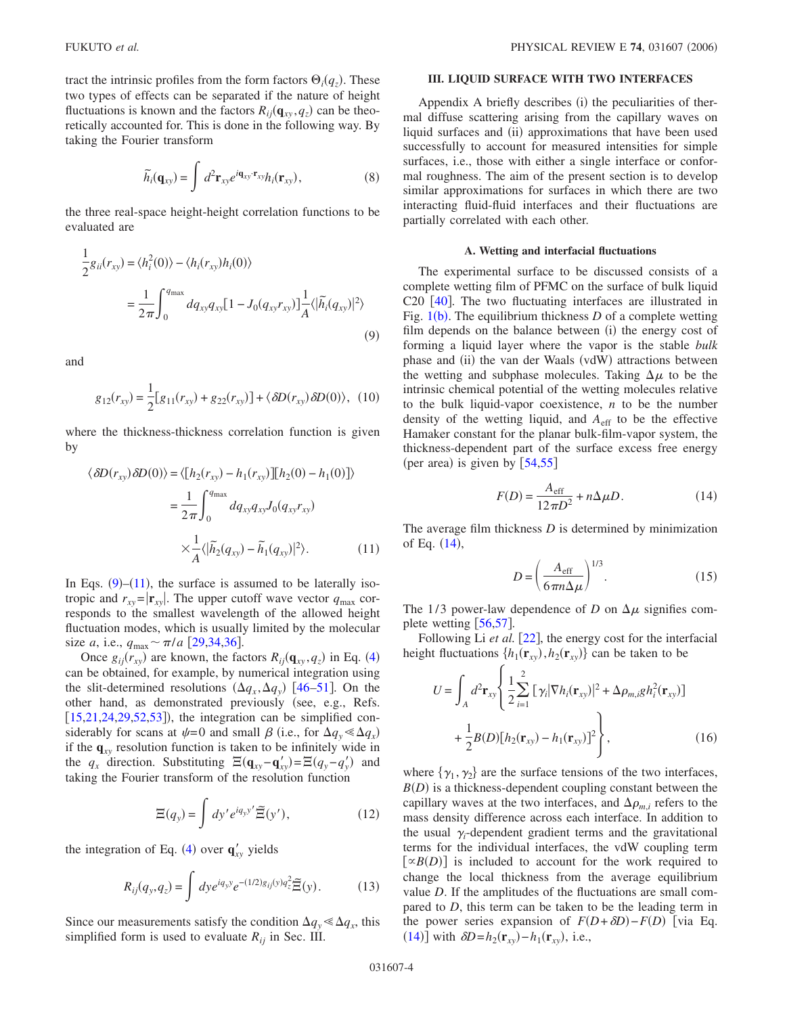tract the intrinsic profiles from the form factors  $\Theta_i(q_z)$ . These two types of effects can be separated if the nature of height fluctuations is known and the factors  $R_{ij}(\mathbf{q}_{xy}, q_z)$  can be theoretically accounted for. This is done in the following way. By taking the Fourier transform

$$
\widetilde{h}_i(\mathbf{q}_{xy}) = \int d^2 \mathbf{r}_{xy} e^{i\mathbf{q}_{xy} \cdot \mathbf{r}_{xy}} h_i(\mathbf{r}_{xy}), \qquad (8)
$$

<span id="page-3-4"></span>the three real-space height-height correlation functions to be evaluated are

<span id="page-3-0"></span>
$$
\frac{1}{2}g_{ii}(r_{xy}) = \langle h_i^2(0) \rangle - \langle h_i(r_{xy})h_i(0) \rangle
$$

$$
= \frac{1}{2\pi} \int_0^{q_{\text{max}}} dq_{xy}q_{xy} [1 - J_0(q_{xy}r_{xy})] \frac{1}{A} \langle |\tilde{h}_i(q_{xy})|^2 \rangle
$$
(9)

and

$$
g_{12}(r_{xy}) = \frac{1}{2} [g_{11}(r_{xy}) + g_{22}(r_{xy})] + \langle \delta D(r_{xy}) \delta D(0) \rangle, (10)
$$

where the thickness-thickness correlation function is given by

<span id="page-3-1"></span>
$$
\langle \delta D(r_{xy}) \delta D(0) \rangle = \langle [h_2(r_{xy}) - h_1(r_{xy})][h_2(0) - h_1(0)] \rangle
$$
  

$$
= \frac{1}{2\pi} \int_0^{q_{\text{max}}} dq_{xy} q_{xy} J_0(q_{xy} r_{xy})
$$
  

$$
\times \frac{1}{A} \langle |\tilde{h}_2(q_{xy}) - \tilde{h}_1(q_{xy})|^2 \rangle.
$$
 (11)

In Eqs.  $(9)$  $(9)$  $(9)$ – $(11)$  $(11)$  $(11)$ , the surface is assumed to be laterally isotropic and  $r_{xy} = |\mathbf{r}_{xy}|$ . The upper cutoff wave vector  $q_{\text{max}}$  corresponds to the smallest wavelength of the allowed height fluctuation modes, which is usually limited by the molecular size *a*, i.e.,  $q_{\text{max}} \sim \pi/a$  [[29](#page-17-13)[,34](#page-17-14)[,36](#page-17-16)].

Once  $g_{ij}(r_{xy})$  are known, the factors  $R_{ij}(\mathbf{q}_{xy}, q_z)$  in Eq. ([4](#page-2-1)) can be obtained, for example, by numerical integration using the slit-determined resolutions  $(\Delta q_x, \Delta q_y)$  [[46](#page-17-25)[–51](#page-17-26)]. On the other hand, as demonstrated previously (see, e.g., Refs.  $[15,21,24,29,52,53]$  $[15,21,24,29,52,53]$  $[15,21,24,29,52,53]$  $[15,21,24,29,52,53]$  $[15,21,24,29,52,53]$  $[15,21,24,29,52,53]$  $[15,21,24,29,52,53]$  $[15,21,24,29,52,53]$ ), the integration can be simplified considerably for scans at  $\psi = 0$  and small  $\beta$  (i.e., for  $\Delta q_y \ll \Delta q_x$ ) if the  $\mathbf{q}_{xy}$  resolution function is taken to be infinitely wide in the  $q_x$  direction. Substituting  $\Xi(\mathbf{q}_{xy}-\mathbf{q}'_{xy}) = \Xi(q_y-q'_y)$  and taking the Fourier transform of the resolution function

$$
\Xi(q_y) = \int dy' e^{iq_y y'} \widetilde{\Xi}(y'), \qquad (12)
$$

<span id="page-3-5"></span>the integration of Eq. ([4](#page-2-1)) over  $\mathbf{q}'_{xy}$  yields

$$
R_{ij}(q_y, q_z) = \int dy e^{iq_y y} e^{-(1/2)g_{ij}(y)q_z^2} \widetilde{\Xi}(y).
$$
 (13)

Since our measurements satisfy the condition  $\Delta q_y \ll \Delta q_x$ , this simplified form is used to evaluate  $R_{ii}$  in Sec. III.

# **III. LIQUID SURFACE WITH TWO INTERFACES**

Appendix A briefly describes (i) the peculiarities of thermal diffuse scattering arising from the capillary waves on liquid surfaces and (ii) approximations that have been used successfully to account for measured intensities for simple surfaces, i.e., those with either a single interface or conformal roughness. The aim of the present section is to develop similar approximations for surfaces in which there are two interacting fluid-fluid interfaces and their fluctuations are partially correlated with each other.

### **A. Wetting and interfacial fluctuations**

The experimental surface to be discussed consists of a complete wetting film of PFMC on the surface of bulk liquid C20  $[40]$  $[40]$  $[40]$ . The two fluctuating interfaces are illustrated in Fig.  $1(b)$  $1(b)$ . The equilibrium thickness  $D$  of a complete wetting film depends on the balance between (i) the energy cost of forming a liquid layer where the vapor is the stable *bulk* phase and (ii) the van der Waals (vdW) attractions between the wetting and subphase molecules. Taking  $\Delta \mu$  to be the intrinsic chemical potential of the wetting molecules relative to the bulk liquid-vapor coexistence, *n* to be the number density of the wetting liquid, and  $A<sub>eff</sub>$  to be the effective Hamaker constant for the planar bulk-film-vapor system, the thickness-dependent part of the surface excess free energy (per area) is given by  $[54,55]$  $[54,55]$  $[54,55]$  $[54,55]$ 

$$
F(D) = \frac{A_{\text{eff}}}{12\pi D^2} + n\Delta\mu D.
$$
 (14)

<span id="page-3-2"></span>The average film thickness *D* is determined by minimization of Eq.  $(14)$  $(14)$  $(14)$ ,

$$
D = \left(\frac{A_{\text{eff}}}{6\pi n \Delta \mu}\right)^{1/3}.\tag{15}
$$

The 1/3 power-law dependence of *D* on  $\Delta \mu$  signifies complete wetting  $\left[56,57\right]$  $\left[56,57\right]$  $\left[56,57\right]$  $\left[56,57\right]$ .

<span id="page-3-3"></span>Following Li *et al.* [[22](#page-17-7)], the energy cost for the interfacial height fluctuations  $\{h_1(\mathbf{r}_{xy}), h_2(\mathbf{r}_{xy})\}$  can be taken to be

$$
U = \int_{A} d^{2} \mathbf{r}_{xy} \left\{ \frac{1}{2} \sum_{i=1}^{2} \left[ \gamma_{i} |\nabla h_{i}(\mathbf{r}_{xy})|^{2} + \Delta \rho_{m,i} g h_{i}^{2}(\mathbf{r}_{xy}) \right] + \frac{1}{2} B(D) \left[ h_{2}(\mathbf{r}_{xy}) - h_{1}(\mathbf{r}_{xy}) \right]^{2} \right\},
$$
(16)

where  $\{\gamma_1, \gamma_2\}$  are the surface tensions of the two interfaces,  $B(D)$  is a thickness-dependent coupling constant between the capillary waves at the two interfaces, and  $\Delta \rho_{m,i}$  refers to the mass density difference across each interface. In addition to the usual  $\gamma_i$ -dependent gradient terms and the gravitational terms for the individual interfaces, the vdW coupling term  $\left[ \alpha B(D) \right]$  is included to account for the work required to change the local thickness from the average equilibrium value *D*. If the amplitudes of the fluctuations are small compared to *D*, this term can be taken to be the leading term in the power series expansion of  $F(D+\delta D) - F(D)$  [via Eq. ([14](#page-3-2))] with  $\delta D = h_2(\mathbf{r}_{xy}) - h_1(\mathbf{r}_{xy})$ , i.e.,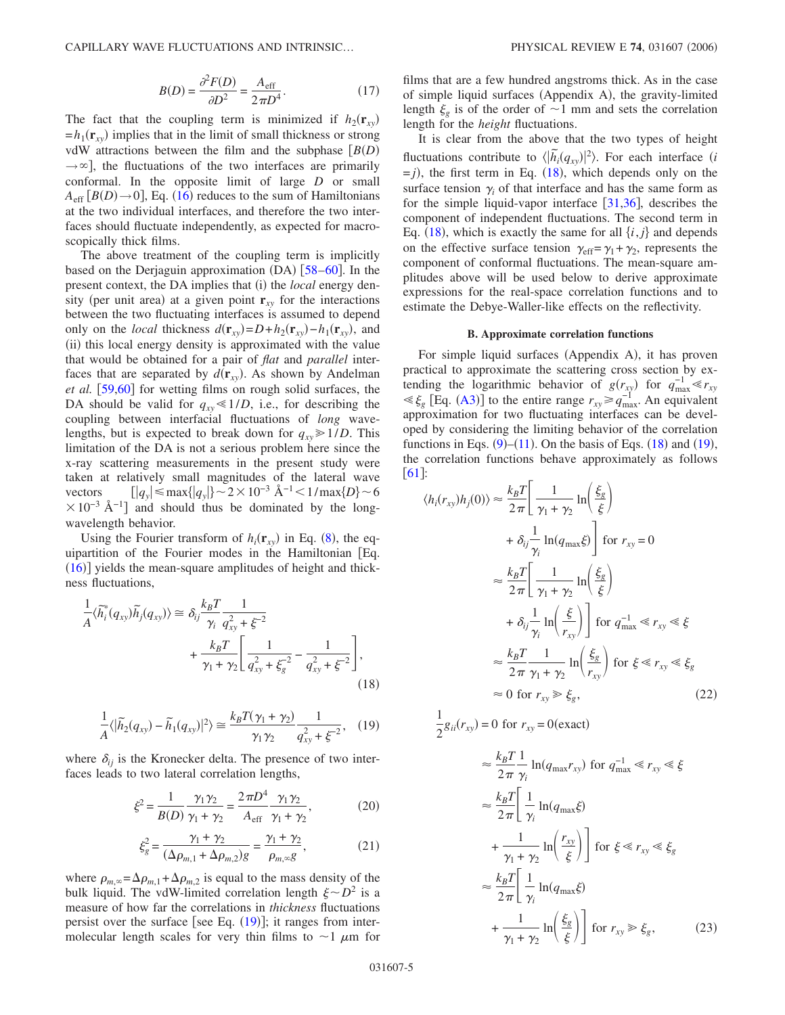CAPILLARY WAVE FLUCTUATIONS AND INTRINSIC...

$$
B(D) = \frac{\partial^2 F(D)}{\partial D^2} = \frac{A_{\text{eff}}}{2\pi D^4}.
$$
 (17)

The fact that the coupling term is minimized if  $h_2(\mathbf{r}_{xy})$  $=h_1(r_{xy})$  implies that in the limit of small thickness or strong vdW attractions between the film and the subphase  $[B(D)]$  $\rightarrow \infty$ , the fluctuations of the two interfaces are primarily conformal. In the opposite limit of large *D* or small  $A_{\text{eff}}$   $[B(D) \rightarrow 0]$ , Eq. ([16](#page-3-3)) reduces to the sum of Hamiltonians at the two individual interfaces, and therefore the two interfaces should fluctuate independently, as expected for macroscopically thick films.

The above treatment of the coupling term is implicitly based on the Derjaguin approximation (DA) [58-[60](#page-17-35)]. In the present context, the DA implies that (i) the *local* energy density (per unit area) at a given point  $\mathbf{r}_{xy}$  for the interactions between the two fluctuating interfaces is assumed to depend only on the *local* thickness  $d(\mathbf{r}_{xy}) = D + h_2(\mathbf{r}_{xy}) - h_1(\mathbf{r}_{xy})$ , and (ii) this local energy density is approximated with the value that would be obtained for a pair of *flat* and *parallel* interfaces that are separated by  $d(\mathbf{r}_{xy})$ . As shown by Andelman *et al.* [[59](#page-17-36)[,60](#page-17-35)] for wetting films on rough solid surfaces, the DA should be valid for  $q_{xy} \le 1/D$ , i.e., for describing the coupling between interfacial fluctuations of *long* wavelengths, but is expected to break down for  $q_{xy} \ge 1/D$ . This limitation of the DA is not a serious problem here since the x-ray scattering measurements in the present study were taken at relatively small magnitudes of the lateral wave vectors  $[|q_y| \le \max\{|q_y|\} \sim 2 \times 10^{-3} \text{ Å}^{-1} < 1/\max\{D\} \sim 6$  $\times 10^{-3}$  Å<sup>-1</sup>] and should thus be dominated by the longwavelength behavior.

Using the Fourier transform of  $h_i(\mathbf{r}_{xy})$  in Eq. ([8](#page-3-4)), the equipartition of the Fourier modes in the Hamiltonian Eq.  $(16)$  $(16)$  $(16)$ ] yields the mean-square amplitudes of height and thickness fluctuations,

<span id="page-4-1"></span>
$$
\frac{1}{A} \langle \tilde{h}_i^*(q_{xy}) \tilde{h}_j(q_{xy}) \rangle \approx \delta_{ij} \frac{k_B T}{\gamma_i} \frac{1}{q_{xy}^2 + \xi^{-2}} + \frac{k_B T}{\gamma_1 + \gamma_2} \left[ \frac{1}{q_{xy}^2 + \xi_s^{-2}} - \frac{1}{q_{xy}^2 + \xi^{-2}} \right],
$$
\n(18)

<span id="page-4-0"></span>
$$
\frac{1}{A}\langle |\widetilde{h}_2(q_{xy}) - \widetilde{h}_1(q_{xy})|^2 \rangle \cong \frac{k_B T(\gamma_1 + \gamma_2)}{\gamma_1 \gamma_2} \frac{1}{q_{xy}^2 + \xi^{-2}}, \quad (19)
$$

<span id="page-4-4"></span>where  $\delta_{ij}$  is the Kronecker delta. The presence of two interfaces leads to two lateral correlation lengths,

$$
\xi^2 = \frac{1}{B(D)} \frac{\gamma_1 \gamma_2}{\gamma_1 + \gamma_2} = \frac{2\pi D^4}{A_{\text{eff}}} \frac{\gamma_1 \gamma_2}{\gamma_1 + \gamma_2},\tag{20}
$$

$$
\xi_g^2 = \frac{\gamma_1 + \gamma_2}{(\Delta \rho_{m,1} + \Delta \rho_{m,2})g} = \frac{\gamma_1 + \gamma_2}{\rho_{m,\infty}g},
$$
(21)

<span id="page-4-5"></span>where  $\rho_{m,\infty} = \Delta \rho_{m,1} + \Delta \rho_{m,2}$  is equal to the mass density of the bulk liquid. The vdW-limited correlation length  $\xi \sim D^2$  is a measure of how far the correlations in *thickness* fluctuations persist over the surface [see Eq.  $(19)$  $(19)$  $(19)$ ]; it ranges from intermolecular length scales for very thin films to  $\sim$ 1  $\mu$ m for films that are a few hundred angstroms thick. As in the case of simple liquid surfaces (Appendix A), the gravity-limited length  $\xi$ <sub>g</sub> is of the order of  $\sim$ 1 mm and sets the correlation length for the *height* fluctuations.

It is clear from the above that the two types of height fluctuations contribute to  $\langle |\tilde{h}_i(q_{xy})|^2 \rangle$ . For each interface *(i*)  $= j$ ), the first term in Eq. ([18](#page-4-1)), which depends only on the surface tension  $\gamma$  of that interface and has the same form as for the simple liquid-vapor interface  $[31,36]$  $[31,36]$  $[31,36]$  $[31,36]$ , describes the component of independent fluctuations. The second term in Eq.  $(18)$  $(18)$  $(18)$ , which is exactly the same for all  $\{i, j\}$  and depends on the effective surface tension  $\gamma_{\text{eff}} = \gamma_1 + \gamma_2$ , represents the component of conformal fluctuations. The mean-square amplitudes above will be used below to derive approximate expressions for the real-space correlation functions and to estimate the Debye-Waller-like effects on the reflectivity.

#### **B. Approximate correlation functions**

For simple liquid surfaces (Appendix A), it has proven practical to approximate the scattering cross section by extending the logarithmic behavior of  $g(r_{xy})$  for  $q_{\text{max}}^{-1} \ll r_{xy}$  $\leq \xi_g$  [Eq. ([A3](#page-14-0))] to the entire range  $r_{xy} \geq q_{\text{max}}^{-1}$ . An equivalent approximation for two fluctuating interfaces can be developed by considering the limiting behavior of the correlation functions in Eqs.  $(9)$  $(9)$  $(9)$ – $(11)$  $(11)$  $(11)$ . On the basis of Eqs.  $(18)$  $(18)$  $(18)$  and  $(19)$  $(19)$  $(19)$ , the correlation functions behave approximately as follows [61](#page-17-37):

<span id="page-4-2"></span>
$$
\langle h_i(r_{xy})h_j(0)\rangle \approx \frac{k_B T}{2\pi} \left[ \frac{1}{\gamma_1 + \gamma_2} \ln\left(\frac{\xi_g}{\xi}\right) + \delta_{ij} \frac{1}{\gamma_i} \ln(q_{\text{max}}\xi) \right] \text{ for } r_{xy} = 0
$$
  

$$
\approx \frac{k_B T}{2\pi} \left[ \frac{1}{\gamma_1 + \gamma_2} \ln\left(\frac{\xi_g}{\xi}\right) + \delta_{ij} \frac{1}{\gamma_i} \ln\left(\frac{\xi}{r_{xy}}\right) \right] \text{ for } q_{\text{max}}^{-1} \ll r_{xy} \ll \xi
$$
  

$$
\approx \frac{k_B T}{2\pi} \frac{1}{\gamma_1 + \gamma_2} \ln\left(\frac{\xi_g}{r_{xy}}\right) \text{ for } \xi \ll r_{xy} \ll \xi_g
$$
  

$$
\approx 0 \text{ for } r_{xy} \gg \xi_g,
$$
 (22)

<span id="page-4-3"></span>1  $\frac{1}{2}g_{ii}(r_{xy}) = 0$  for  $r_{xy} = 0$  (exact)

$$
\approx \frac{k_B T}{2\pi} \frac{1}{\gamma_i} \ln(q_{\text{max}} r_{xy}) \text{ for } q_{\text{max}}^{-1} \ll r_{xy} \ll \xi
$$
  

$$
\approx \frac{k_B T}{2\pi} \left[ \frac{1}{\gamma_i} \ln(q_{\text{max}} \xi) + \frac{1}{\gamma_1 + \gamma_2} \ln\left(\frac{r_{xy}}{\xi}\right) \right] \text{ for } \xi \ll r_{xy} \ll \xi_g
$$
  

$$
\approx \frac{k_B T}{2\pi} \left[ \frac{1}{\gamma_i} \ln(q_{\text{max}} \xi) + \frac{1}{\gamma_1 + \gamma_2} \ln\left(\frac{\xi_g}{\xi}\right) \right] \text{ for } r_{xy} \gg \xi_g,
$$
 (23)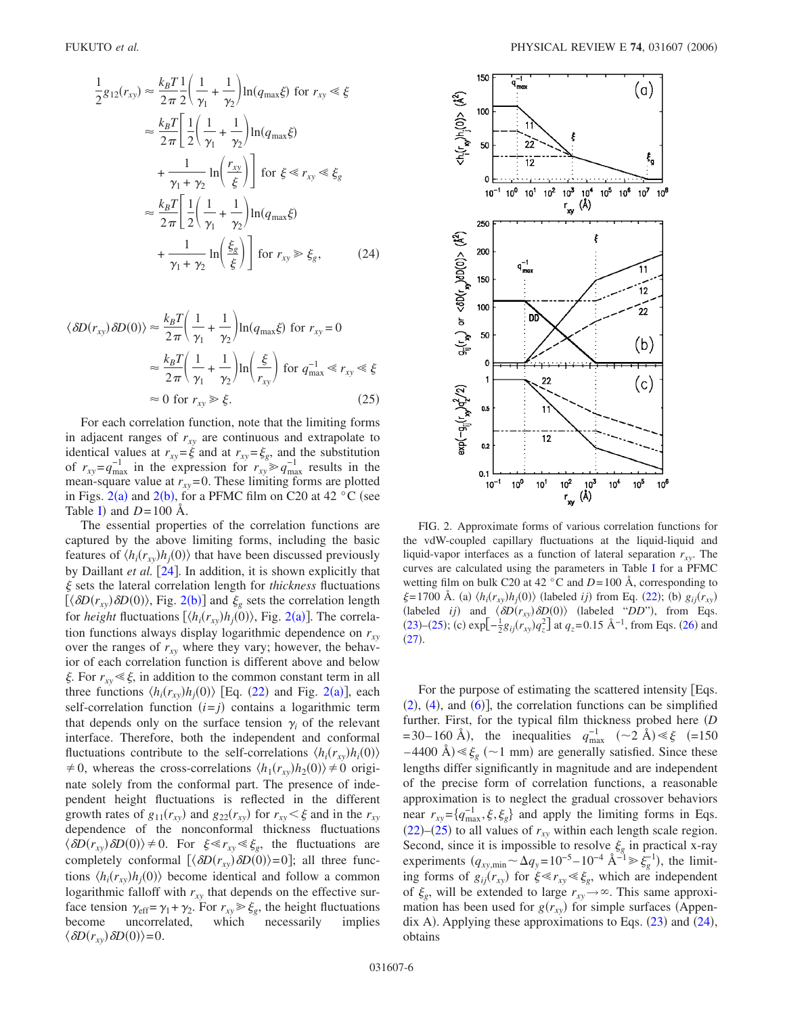<span id="page-5-2"></span>
$$
\frac{1}{2}g_{12}(r_{xy}) \approx \frac{k_B T}{2\pi} \frac{1}{2} \left(\frac{1}{\gamma_1} + \frac{1}{\gamma_2}\right) \ln(q_{\text{max}}\xi) \text{ for } r_{xy} \ll \xi
$$

$$
\approx \frac{k_B T}{2\pi} \left[\frac{1}{2} \left(\frac{1}{\gamma_1} + \frac{1}{\gamma_2}\right) \ln(q_{\text{max}}\xi)
$$

$$
+ \frac{1}{\gamma_1 + \gamma_2} \ln\left(\frac{r_{xy}}{\xi}\right) \right] \text{ for } \xi \ll r_{xy} \ll \xi_g
$$

$$
\approx \frac{k_B T}{2\pi} \left[\frac{1}{2} \left(\frac{1}{\gamma_1} + \frac{1}{\gamma_2}\right) \ln(q_{\text{max}}\xi)
$$

$$
+ \frac{1}{\gamma_1 + \gamma_2} \ln\left(\frac{\xi_g}{\xi}\right) \right] \text{ for } r_{xy} \gg \xi_g, \qquad (24)
$$

<span id="page-5-1"></span>
$$
\langle \delta D(r_{xy}) \delta D(0) \rangle \approx \frac{k_B T}{2\pi} \left( \frac{1}{\gamma_1} + \frac{1}{\gamma_2} \right) \ln(q_{\text{max}} \xi) \text{ for } r_{xy} = 0
$$

$$
\approx \frac{k_B T}{2\pi} \left( \frac{1}{\gamma_1} + \frac{1}{\gamma_2} \right) \ln \left( \frac{\xi}{r_{xy}} \right) \text{ for } q_{\text{max}}^{-1} \ll r_{xy} \ll \xi
$$

$$
\approx 0 \text{ for } r_{xy} \gg \xi. \tag{25}
$$

For each correlation function, note that the limiting forms in adjacent ranges of  $r_{xy}$  are continuous and extrapolate to identical values at  $r_{xy} = \xi$  and at  $r_{xy} = \xi_g$ , and the substitution of  $r_{xy} = q_{\text{max}}^{-1}$  in the expression for  $r_{xy} \geq q_{\text{max}}^{-1}$  results in the mean-square value at  $r_{xy} = 0$ . These limiting forms are plotted in Figs. [2](#page-5-0)(a) and 2([b](#page-5-0)), for a PFMC film on C20 at 42  $\degree$ C (see Table [I](#page-6-0)) and  $D=100$  Å.

The essential properties of the correlation functions are captured by the above limiting forms, including the basic features of  $\langle h_i(r_{xy})h_j(0) \rangle$  that have been discussed previously by Daillant *et al.* [[24](#page-17-6)]. In addition, it is shown explicitly that sets the lateral correlation length for *thickness* fluctuations  $[\langle \delta D(r_{xy}) \delta D(0) \rangle$ , Fig. [2](#page-5-0)(b)] and  $\xi_g$  sets the correlation length for *height* fluctuations  $\left[ \langle h_i(r_{xy})h_j(0) \rangle, \text{Fig. 2(a)} \right]$  $\left[ \langle h_i(r_{xy})h_j(0) \rangle, \text{Fig. 2(a)} \right]$  $\left[ \langle h_i(r_{xy})h_j(0) \rangle, \text{Fig. 2(a)} \right]$ . The correlation functions always display logarithmic dependence on  $r_{xy}$ over the ranges of  $r_{xy}$  where they vary; however, the behavior of each correlation function is different above and below  $\xi$ . For  $r_{xy} \le \xi$ , in addition to the common constant term in all three functions  $\langle h_i(r_{xy})h_j(0) \rangle$  [Eq. ([22](#page-4-2)) and Fig. [2](#page-5-0)(a)], each self-correlation function  $(i=j)$  contains a logarithmic term that depends only on the surface tension  $\gamma$  of the relevant interface. Therefore, both the independent and conformal fluctuations contribute to the self-correlations  $\langle h_i(r_{xy})h_i(0) \rangle$  $\neq$  0, whereas the cross-correlations  $\langle h_1(r_{xy})h_2(0)\rangle \neq 0$  originate solely from the conformal part. The presence of independent height fluctuations is reflected in the different growth rates of  $g_{11}(r_{xy})$  and  $g_{22}(r_{xy})$  for  $r_{xy} < \xi$  and in the  $r_{xy}$ dependence of the nonconformal thickness fluctuations  $\langle \delta D(r_{xy}) \delta D(0) \rangle \neq 0$ . For  $\xi \ll r_{xy} \ll \xi_g$ , the fluctuations are completely conformal  $[\langle \delta D(r_{xy}) \delta D(0) \rangle = 0]$ ; all three functions  $\langle h_i(r_{xy})h_j(0)\rangle$  become identical and follow a common logarithmic falloff with  $r_{xy}$  that depends on the effective surface tension  $\gamma_{\text{eff}} = \gamma_1 + \gamma_2$ . For  $r_{xy} \ge \xi_g$ , the height fluctuations become uncorrelated, which necessarily implies  $\langle \delta D(r_{xy}) \delta D(0) \rangle = 0.$ 

<span id="page-5-0"></span>

FIG. 2. Approximate forms of various correlation functions for the vdW-coupled capillary fluctuations at the liquid-liquid and liquid-vapor interfaces as a function of lateral separation  $r_{xy}$ . The curves are calculated using the parameters in Table [I](#page-6-0) for a PFMC wetting film on bulk C20 at 42  $\degree$ C and *D* = 100 Å, corresponding to  $\xi = 1700 \text{ Å. (a) } \langle h_i(r_{xy})h_j(0) \rangle$  (labeled *ij*) from Eq. ([22](#page-4-2)); (b)  $g_{ij}(r_{xy})$ (labeled *ij*) and  $\langle \delta D(r_{xy}) \delta D(0) \rangle$  (labeled "*DD*"), from Eqs. ([23](#page-4-3))–([25](#page-5-1)); (c)  $\exp[-\frac{1}{2}g_{ij}(r_{xy})q_z^2]$  at  $q_z$ =0.15 Å<sup>-1</sup>, from Eqs. ([26](#page-6-1)) and  $(27).$  $(27).$  $(27).$ 

For the purpose of estimating the scattered intensity [Eqs.  $(2)$  $(2)$  $(2)$ ,  $(4)$  $(4)$  $(4)$ , and  $(6)$  $(6)$  $(6)$ ], the correlation functions can be simplified further. First, for the typical film thickness probed here *D*  $=$  30–160 Å), the inequalities  $q_{\text{max}}^{-1}$  (~2 Å)  $\leq \xi$  (=150)  $-4400$  Å)  $\leq \xi_g$  ( $\sim$ 1 mm) are generally satisfied. Since these lengths differ significantly in magnitude and are independent of the precise form of correlation functions, a reasonable approximation is to neglect the gradual crossover behaviors near  $r_{xy} = \{q_{\text{max}}^{-1}, \xi, \xi_g\}$  and apply the limiting forms in Eqs.  $(22)$  $(22)$  $(22)$ – $(25)$  $(25)$  $(25)$  to all values of  $r_{xy}$  within each length scale region. Second, since it is impossible to resolve  $\xi_g$  in practical x-ray experiments  $(q_{xy,\text{min}} \sim \Delta q_y = 10^{-5} - 10^{-4} \text{ Å}^{-1} \ge \xi_g^{-1}$ , the limiting forms of  $g_{ij}(r_{xy})$  for  $\xi \ll r_{xy} \ll \xi_g$ , which are independent of  $\xi_g$ , will be extended to large  $r_{xy} \rightarrow \infty$ . This same approximation has been used for  $g(r_{xy})$  for simple surfaces (Appendix A). Applying these approximations to Eqs.  $(23)$  $(23)$  $(23)$  and  $(24)$  $(24)$  $(24)$ , obtains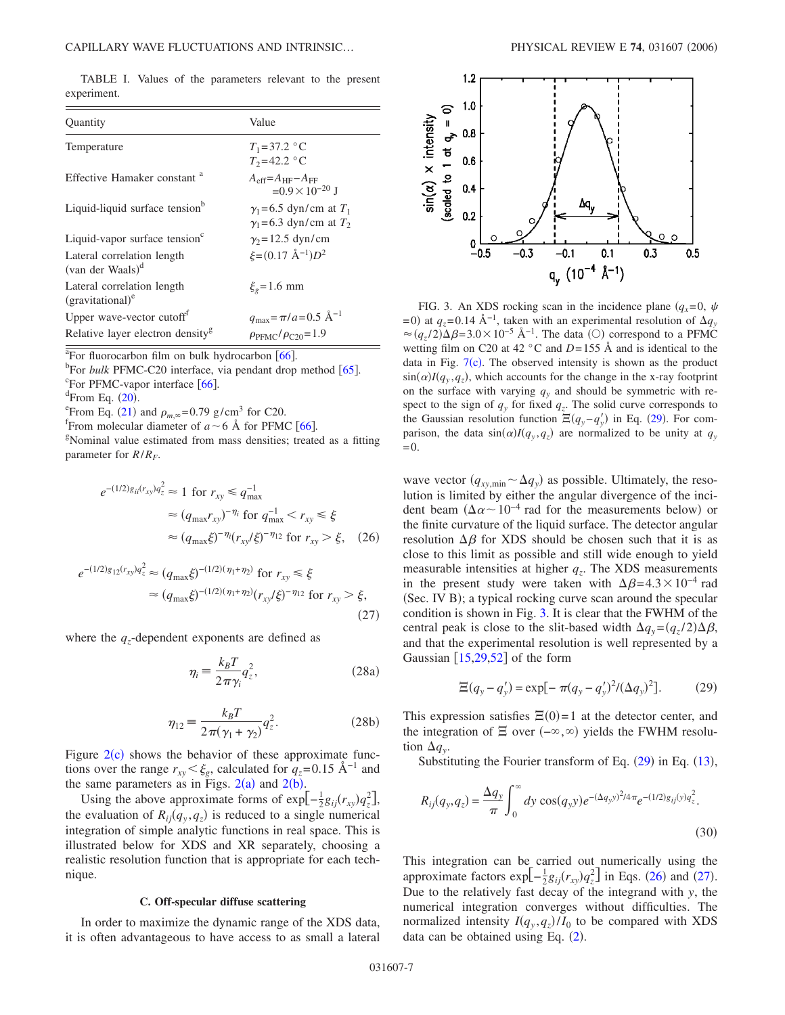<span id="page-6-0"></span>TABLE I. Values of the parameters relevant to the present experiment.

| Quantity                                          | Value                                                              |
|---------------------------------------------------|--------------------------------------------------------------------|
| Temperature                                       | $T_1 = 37.2$ °C<br>$T_2 = 42.2$ °C                                 |
| Effective Hamaker constant <sup>a</sup>           | $A_{\rm eff} = A_{\rm HF} - A_{\rm FF}$<br>$=0.9\times10^{-20}$ J  |
| Liquid-liquid surface tension <sup>b</sup>        | $\gamma_1$ =6.5 dyn/cm at $T_1$<br>$\gamma_1$ =6.3 dyn/cm at $T_2$ |
| Liquid-vapor surface tension $\sigma$             | $\gamma_2$ =12.5 dyn/cm                                            |
| Lateral correlation length<br>(van der Waals) $d$ | $\xi = (0.17 \text{ Å}^{-1})D^2$                                   |
| Lateral correlation length<br>$(gravitational)^c$ | $\xi_e = 1.6$ mm                                                   |
| Upper wave-vector cutoff <sup>t</sup>             | $q_{\text{max}} = \pi/a = 0.5 \text{ Å}^{-1}$                      |
| Relative layer electron density <sup>g</sup>      | $\rho_{\text{PEMC}}/\rho_{\text{C20}}=1.9$                         |

<sup>a</sup>For fluorocarbon film on bulk hydrocarbon  $[66]$  $[66]$  $[66]$ .

<sup>b</sup>For *bulk* PFMC-C20 interface, via pendant drop method [[65](#page-17-39)].  ${}^{\circ}$ For PFMC-vapor interface [[66](#page-17-38)].

 $\rm{e^{c}From}$  Eq. ([20](#page-4-4)).<br> $\rm{E}_{\rm{F}rem}$  Eq. (21)

<sup>e</sup> From Eq. ([21](#page-4-5)) and  $\rho_{m,\infty} = 0.79$  g/cm<sup>3</sup> for C20.

<sup>1</sup> From molecular diameter of  $a \sim 6$  Å for PFMC [[66](#page-17-38)].

Nominal value estimated from mass densities; treated as a fitting parameter for  $R/R<sub>F</sub>$ .

<span id="page-6-1"></span>
$$
e^{-(1/2)g_{ii}(r_{xy})q_z^2} \approx 1 \text{ for } r_{xy} \le q_{\text{max}}^{-1}
$$
  
\n
$$
\approx (q_{\text{max}}r_{xy})^{-\eta_i} \text{ for } q_{\text{max}}^{-1} < r_{xy} \le \xi
$$
  
\n
$$
\approx (q_{\text{max}}\xi)^{-\eta_i}(r_{xy}/\xi)^{-\eta_{12}} \text{ for } r_{xy} > \xi, \quad (26)
$$

<span id="page-6-2"></span>
$$
e^{-(1/2)g_{12}(r_{xy})q_z^2} \approx (q_{\text{max}}\xi)^{-(1/2)(\eta_1 + \eta_2)} \text{ for } r_{xy} \le \xi
$$
  
 
$$
\approx (q_{\text{max}}\xi)^{-(1/2)(\eta_1 + \eta_2)}(r_{xy}/\xi)^{-\eta_{12}} \text{ for } r_{xy} > \xi,
$$
 (27)

<span id="page-6-6"></span>where the  $q_z$ -dependent exponents are defined as

$$
\eta_i \equiv \frac{k_B T}{2\pi \gamma_i} q_z^2,\tag{28a}
$$

$$
\eta_{12} \equiv \frac{k_B T}{2\pi(\gamma_1 + \gamma_2)} q_z^2. \tag{28b}
$$

Figure  $2(c)$  $2(c)$  shows the behavior of these approximate functions over the range  $r_{xy} < \xi_e$ , calculated for  $q_z$ =0.15 Å<sup>-1</sup> and the same parameters as in Figs.  $2(a)$  $2(a)$  and  $2(b)$ .

Using the above approximate forms of  $exp[-\frac{1}{2}g_{ij}(r_{xy})q_z^2]$ , the evaluation of  $R_{ij}(q_y, q_z)$  is reduced to a single numerical integration of simple analytic functions in real space. This is illustrated below for XDS and XR separately, choosing a realistic resolution function that is appropriate for each technique.

#### **C. Off-specular diffuse scattering**

In order to maximize the dynamic range of the XDS data, it is often advantageous to have access to as small a lateral

<span id="page-6-3"></span>

FIG. 3. An XDS rocking scan in the incidence plane  $(q_x=0, \psi)$ =0) at  $q_z$ =0.14 Å<sup>-1</sup>, taken with an experimental resolution of  $\Delta q_y$  $\approx$  (*q<sub>z</sub>*/2) $\Delta \beta$ =3.0 × 10<sup>-5</sup> Å<sup>-1</sup>. The data (○) correspond to a PFMC wetting film on C20 at 42  $\degree$ C and *D*=155 Å and is identical to the data in Fig.  $7(c)$  $7(c)$ . The observed intensity is shown as the product  $\sin(\alpha)I(q_y, q_z)$ , which accounts for the change in the x-ray footprint on the surface with varying  $q<sub>y</sub>$  and should be symmetric with respect to the sign of  $q_y$  for fixed  $q_z$ . The solid curve corresponds to the Gaussian resolution function  $\Xi(q_y - q'_y)$  in Eq. ([29](#page-6-4)). For comparison, the data  $sin(\alpha)I(q_y, q_z)$  are normalized to be unity at  $q_y$  $=0.$ 

wave vector  $(q_{xy,min} \sim \Delta q_y)$  as possible. Ultimately, the resolution is limited by either the angular divergence of the incident beam  $(\Delta \alpha \sim 10^{-4} \text{ rad for the measurements below})$  or the finite curvature of the liquid surface. The detector angular resolution  $\Delta \beta$  for XDS should be chosen such that it is as close to this limit as possible and still wide enough to yield measurable intensities at higher  $q_z$ . The XDS measurements in the present study were taken with  $\Delta \beta = 4.3 \times 10^{-4}$  rad (Sec. IV B); a typical rocking curve scan around the specular condition is shown in Fig. [3.](#page-6-3) It is clear that the FWHM of the central peak is close to the slit-based width  $\Delta q_y = (q_z/2) \Delta \beta$ , and that the experimental resolution is well represented by a Gaussian  $\left[15,29,52\right]$  $\left[15,29,52\right]$  $\left[15,29,52\right]$  $\left[15,29,52\right]$  $\left[15,29,52\right]$  of the form

$$
\Xi(q_y - q_y') = \exp[-\pi(q_y - q_y')^2/(\Delta q_y)^2].
$$
 (29)

<span id="page-6-4"></span>This expression satisfies  $\Xi(0)=1$  at the detector center, and the integration of  $\Xi$  over  $(-\infty,\infty)$  yields the FWHM resolution  $\Delta q_{\rm v}$ .

Substituting the Fourier transform of Eq.  $(29)$  $(29)$  $(29)$  in Eq.  $(13)$  $(13)$  $(13)$ ,

<span id="page-6-5"></span>
$$
R_{ij}(q_{y},q_{z}) = \frac{\Delta q_{y}}{\pi} \int_{0}^{\infty} dy \cos(q_{y}y)e^{-(\Delta q_{y}y)^{2}/4\pi}e^{-(1/2)g_{ij}(y)q_{z}^{2}}.
$$
\n(30)

This integration can be carried out numerically using the approximate factors  $\exp[-\frac{1}{2}g_{ij}(r_{xy})q_z^2]$  in Eqs. ([26](#page-6-1)) and ([27](#page-6-2)). Due to the relatively fast decay of the integrand with *y*, the numerical integration converges without difficulties. The normalized intensity  $I(q_y, q_z)/I_0$  to be compared with XDS data can be obtained using Eq.  $(2)$  $(2)$  $(2)$ .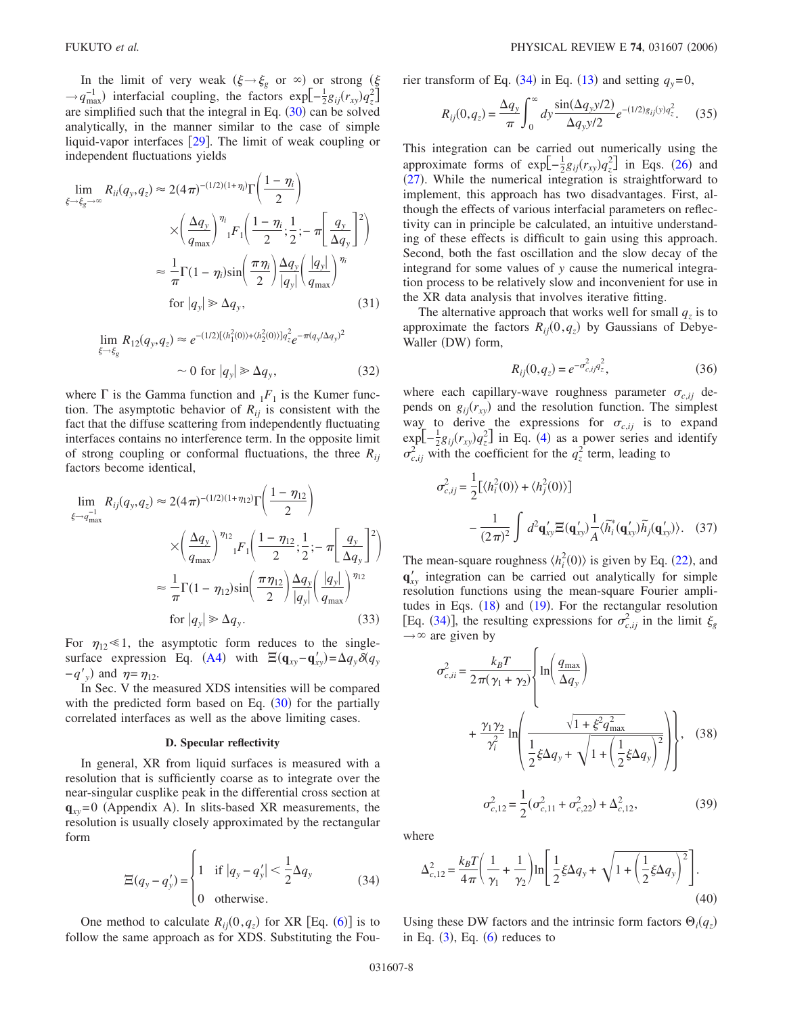In the limit of very weak  $(\xi \rightarrow \xi_g \text{ or } \infty)$  or strong  $(\xi$  $\rightarrow$  *q*<sub>max</sub>) interfacial coupling, the factors exp $\left[-\frac{1}{2}g_{ij}(r_{xy})q_z^2\right]$ are simplified such that the integral in Eq.  $(30)$  $(30)$  $(30)$  can be solved analytically, in the manner similar to the case of simple liquid-vapor interfaces  $[29]$  $[29]$  $[29]$ . The limit of weak coupling or independent fluctuations yields

<span id="page-7-4"></span>
$$
\lim_{\xi \to \xi_g \to \infty} R_{ii}(q_y, q_z) \approx 2(4\pi)^{-(1/2)(1+\eta_i)} \Gamma\left(\frac{1-\eta_i}{2}\right)
$$

$$
\times \left(\frac{\Delta q_y}{q_{\text{max}}}\right)^{\eta_i} F_1\left(\frac{1-\eta_i}{2}; \frac{1}{2}; -\pi\left[\frac{q_y}{\Delta q_y}\right]^2\right)
$$

$$
\approx \frac{1}{\pi} \Gamma(1-\eta_i) \sin\left(\frac{\pi \eta_i}{2}\right) \frac{\Delta q_y}{|q_y|} \left(\frac{|q_y|}{q_{\text{max}}}\right)^{\eta_i}
$$
for  $|q_y| \gg \Delta q_y$ , (31)

<span id="page-7-3"></span>
$$
\lim_{\xi \to \xi_g} R_{12}(q_y, q_z) \approx e^{-(1/2)[\langle h_1^2(0) \rangle + \langle h_2^2(0) \rangle] q_z^2} e^{-\pi (q_y/\Delta q_y)^2}
$$
\n
$$
\sim 0 \text{ for } |q_y| \gg \Delta q_y,
$$
\n(32)

where  $\Gamma$  is the Gamma function and  $_1F_1$  is the Kumer function. The asymptotic behavior of  $R_{ij}$  is consistent with the fact that the diffuse scattering from independently fluctuating interfaces contains no interference term. In the opposite limit of strong coupling or conformal fluctuations, the three *Rij* factors become identical,

$$
\lim_{\xi \to q_{\text{max}}^{-1}} R_{ij}(q_y, q_z) \approx 2(4\pi)^{-(1/2)(1+\eta_{12})} \Gamma\left(\frac{1-\eta_{12}}{2}\right)
$$

$$
\times \left(\frac{\Delta q_y}{q_{\text{max}}}\right)^{\eta_{12}} {}_{1}F_{1}\left(\frac{1-\eta_{12}}{2}; \frac{1}{2}; -\pi\left[\frac{q_y}{\Delta q_y}\right]^{2}\right)
$$

$$
\approx \frac{1}{\pi} \Gamma(1-\eta_{12}) \sin\left(\frac{\pi \eta_{12}}{2}\right) \frac{\Delta q_y}{|q_y|} \left(\frac{|q_y|}{q_{\text{max}}}\right)^{\eta_{12}}
$$
for  $|q_y| \gg \Delta q_y$ . (33)

For  $\eta_{12} \ll 1$ , the asymptotic form reduces to the single-surface expression Eq. ([A4](#page-14-1)) with  $\Xi(\mathbf{q}_{xy}-\mathbf{q}'_{xy}) = \Delta q_y \delta(q_y)$  $-q'$ <sub>y</sub>) and  $\eta = \eta_{12}$ .

In Sec. V the measured XDS intensities will be compared with the predicted form based on Eq.  $(30)$  $(30)$  $(30)$  for the partially correlated interfaces as well as the above limiting cases.

#### **D. Specular reflectivity**

In general, XR from liquid surfaces is measured with a resolution that is sufficiently coarse as to integrate over the near-singular cusplike peak in the differential cross section at  $\mathbf{q}_{xy}$ =0 (Appendix A). In slits-based XR measurements, the resolution is usually closely approximated by the rectangular form

$$
\Xi(q_y - q'_y) = \begin{cases} 1 & \text{if } |q_y - q'_y| < \frac{1}{2}\Delta q_y \\ 0 & \text{otherwise.} \end{cases}
$$
(34)

<span id="page-7-0"></span>One method to calculate  $R_{ij}(0, q_z)$  for XR [Eq. ([6](#page-2-2))] is to follow the same approach as for XDS. Substituting the Fou<span id="page-7-5"></span>rier transform of Eq.  $(34)$  $(34)$  $(34)$  in Eq.  $(13)$  $(13)$  $(13)$  and setting  $q_y=0$ ,

$$
R_{ij}(0, q_z) = \frac{\Delta q_y}{\pi} \int_0^\infty dy \frac{\sin(\Delta q_y y/2)}{\Delta q_y y/2} e^{-(1/2)g_{ij}(y)q_z^2}.
$$
 (35)

This integration can be carried out numerically using the approximate forms of  $exp[-\frac{1}{2}g_{ij}(r_{xy})q_z^2]$  in Eqs. ([26](#page-6-1)) and  $(27)$  $(27)$  $(27)$ . While the numerical integration is straightforward to implement, this approach has two disadvantages. First, although the effects of various interfacial parameters on reflectivity can in principle be calculated, an intuitive understanding of these effects is difficult to gain using this approach. Second, both the fast oscillation and the slow decay of the integrand for some values of *y* cause the numerical integration process to be relatively slow and inconvenient for use in the XR data analysis that involves iterative fitting.

The alternative approach that works well for small  $q_z$  is to approximate the factors  $R_{ij}(0, q_z)$  by Gaussians of Debye-Waller (DW) form,

$$
R_{ij}(0, q_z) = e^{-\sigma_{c,ij}^2 q_z^2},\tag{36}
$$

<span id="page-7-6"></span>where each capillary-wave roughness parameter  $\sigma_{c,ij}$  depends on  $g_{ij}(r_{xy})$  and the resolution function. The simplest way to derive the expressions for  $\sigma_{c,ij}$  is to expand  $\exp[-\frac{1}{2}g_{ij}(r_{xy})q_z^2]$  in Eq. ([4](#page-2-1)) as a power series and identify  $\sigma_{c,ij}^2$  with the coefficient for the  $q_z^2$  term, leading to

$$
\sigma_{c,ij}^2 = \frac{1}{2} \left[ \langle h_i^2(0) \rangle + \langle h_j^2(0) \rangle \right]
$$

$$
- \frac{1}{(2\pi)^2} \int d^2 \mathbf{q}_{xy}^{\prime} \Xi(\mathbf{q}_{xy}^{\prime}) \frac{1}{A} \langle \widetilde{h}_i^* (\mathbf{q}_{xy}^{\prime}) \widetilde{h}_j (\mathbf{q}_{xy}^{\prime}) \rangle. \quad (37)
$$

The mean-square roughness  $\langle h_i^2(0) \rangle$  is given by Eq. ([22](#page-4-2)), and  $q'_{xy}$  integration can be carried out analytically for simple resolution functions using the mean-square Fourier amplitudes in Eqs.  $(18)$  $(18)$  $(18)$  and  $(19)$  $(19)$  $(19)$ . For the rectangular resolution [Eq. ([34](#page-7-0))], the resulting expressions for  $\sigma_{c,ij}^2$  in the limit  $\xi_g$  $\rightarrow \infty$  are given by

<span id="page-7-1"></span>
$$
\sigma_{c,ii}^2 = \frac{k_B T}{2\pi(\gamma_1 + \gamma_2)} \left\{ \ln\left(\frac{q_{\text{max}}}{\Delta q_y}\right) + \frac{\gamma_1 \gamma_2}{\gamma_i^2} \ln\left(\frac{\sqrt{1 + \xi^2 q_{\text{max}}^2}}{\frac{1}{2} \xi \Delta q_y + \sqrt{1 + \left(\frac{1}{2} \xi \Delta q_y\right)^2}}\right) \right\}, \quad (38)
$$

$$
\sigma_{c,12}^2 = \frac{1}{2} (\sigma_{c,11}^2 + \sigma_{c,22}^2) + \Delta_{c,12}^2, \quad (39)
$$

 $(39)$ 

<span id="page-7-2"></span>where

$$
\Delta_{c,12}^2 = \frac{k_B T}{4\pi} \left( \frac{1}{\gamma_1} + \frac{1}{\gamma_2} \right) \ln \left[ \frac{1}{2} \xi \Delta q_y + \sqrt{1 + \left( \frac{1}{2} \xi \Delta q_y \right)^2} \right].
$$
\n(40)

Using these DW factors and the intrinsic form factors  $\Theta_i(q_z)$ in Eq.  $(3)$  $(3)$  $(3)$ , Eq.  $(6)$  $(6)$  $(6)$  reduces to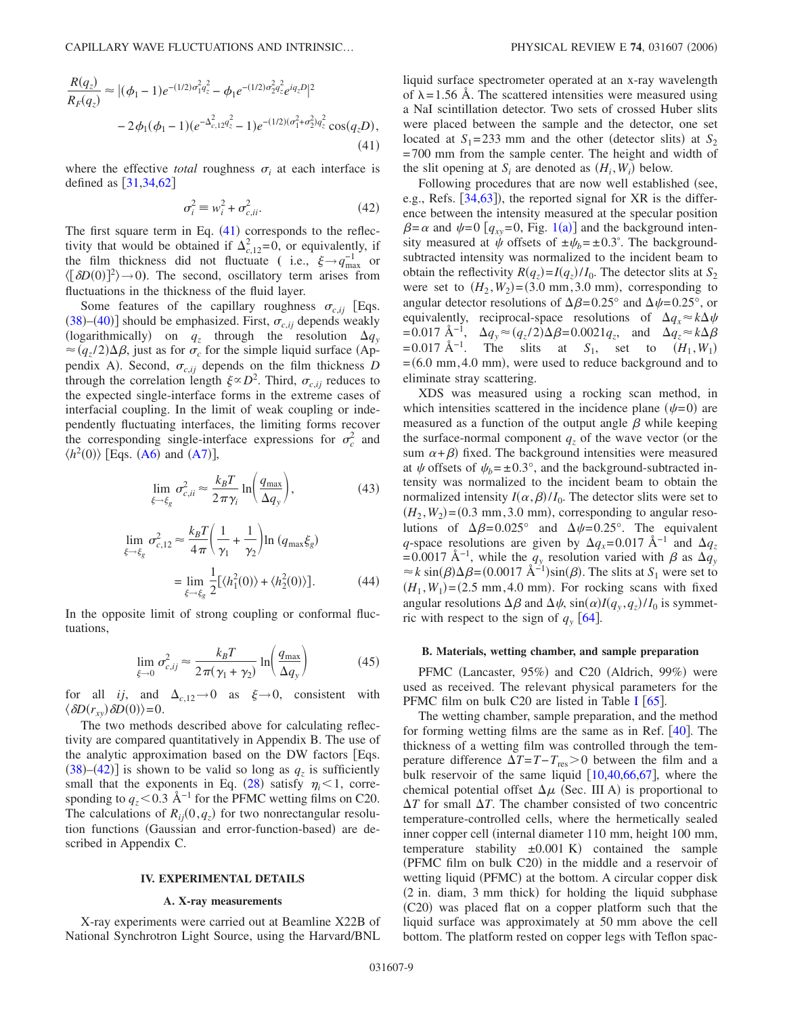<span id="page-8-0"></span>
$$
\frac{R(q_z)}{R_F(q_z)} \approx |(\phi_1 - 1)e^{-(1/2)\sigma_1^2 q_z^2} - \phi_1 e^{-(1/2)\sigma_2^2 q_z^2} e^{iq_z D}|^2
$$
  

$$
-2\phi_1(\phi_1 - 1)(e^{-\Delta_{c,1}^2 q_z^2} - 1)e^{-(1/2)(\sigma_1^2 + \sigma_2^2)q_z^2} \cos(q_z D),
$$
  
(41)

where the effective *total* roughness  $\sigma_i$  at each interface is defined as  $[31,34,62]$  $[31,34,62]$  $[31,34,62]$  $[31,34,62]$  $[31,34,62]$ 

$$
\sigma_i^2 \equiv w_i^2 + \sigma_{c,ii}^2. \tag{42}
$$

<span id="page-8-1"></span>The first square term in Eq.  $(41)$  $(41)$  $(41)$  corresponds to the reflectivity that would be obtained if  $\Delta_{c,12}^2 = 0$ , or equivalently, if the film thickness did not fluctuate ( i.e.,  $\xi \rightarrow q_{\text{max}}^{-1}$  or  $\langle [\delta D(0)]^2 \rangle \rightarrow 0$ ). The second, oscillatory term arises from fluctuations in the thickness of the fluid layer.

Some features of the capillary roughness  $\sigma_{c,i,j}$  [Eqs.  $(38)$  $(38)$  $(38)$ – $(40)$  $(40)$  $(40)$ ] should be emphasized. First,  $\sigma_{c,ij}$  depends weakly (logarithmically) on  $q_z$  through the resolution  $\Delta q_y$  $\approx (q_z/2)\Delta\beta$ , just as for  $\sigma_c$  for the simple liquid surface (Appendix A). Second,  $\sigma_{c,ij}$  depends on the film thickness *D* through the correlation length  $\xi \propto D^2$ . Third,  $\sigma_{c,ij}$  reduces to the expected single-interface forms in the extreme cases of interfacial coupling. In the limit of weak coupling or independently fluctuating interfaces, the limiting forms recover the corresponding single-interface expressions for  $\sigma_c^2$  and  $\langle h^2(0) \rangle$  [Eqs. ([A6](#page-15-0)) and ([A7](#page-15-1))],

$$
\lim_{\xi \to \xi_g} \sigma_{c,ii}^2 \approx \frac{k_B T}{2 \pi \gamma_i} \ln \left( \frac{q_{\text{max}}}{\Delta q_y} \right),\tag{43}
$$

<span id="page-8-2"></span>
$$
\lim_{\xi \to \xi_g} \sigma_{c,12}^2 \approx \frac{k_B T}{4\pi} \left( \frac{1}{\gamma_1} + \frac{1}{\gamma_2} \right) \ln \left( q_{\text{max}} \xi_g \right)
$$
\n
$$
= \lim_{\xi \to \xi_g} \frac{1}{2} \left[ \langle h_1^2(0) \rangle + \langle h_2^2(0) \rangle \right]. \tag{44}
$$

<span id="page-8-3"></span>In the opposite limit of strong coupling or conformal fluctuations,

$$
\lim_{\xi \to 0} \sigma_{c,ij}^2 \approx \frac{k_B T}{2\pi(\gamma_1 + \gamma_2)} \ln\left(\frac{q_{\text{max}}}{\Delta q_y}\right) \tag{45}
$$

for all *ij*, and  $\Delta_{c,12} \rightarrow 0$  as  $\xi \rightarrow 0$ , consistent with  $\langle \delta D(r_{xy}) \delta D(0) \rangle = 0.$ 

The two methods described above for calculating reflectivity are compared quantitatively in Appendix B. The use of the analytic approximation based on the DW factors Eqs.  $(38)$  $(38)$  $(38)$ – $(42)$  $(42)$  $(42)$ ] is shown to be valid so long as  $q_z$  is sufficiently small that the exponents in Eq. ([28](#page-6-6)) satisfy  $\eta_i < 1$ , corresponding to  $q_z$ <0.3 Å<sup>-1</sup> for the PFMC wetting films on C20. The calculations of  $R_{ij}(0, q_z)$  for two nonrectangular resolution functions (Gaussian and error-function-based) are described in Appendix C.

### **IV. EXPERIMENTAL DETAILS**

#### **A. X-ray measurements**

X-ray experiments were carried out at Beamline X22B of National Synchrotron Light Source, using the Harvard/BNL liquid surface spectrometer operated at an x-ray wavelength of  $\lambda$ =1.56 Å. The scattered intensities were measured using a NaI scintillation detector. Two sets of crossed Huber slits were placed between the sample and the detector, one set located at  $S_1 = 233$  mm and the other (detector slits) at  $S_2$ =700 mm from the sample center. The height and width of the slit opening at  $S_i$  are denoted as  $(H_i, W_i)$  below.

Following procedures that are now well established (see, e.g., Refs.  $[34, 63]$  $[34, 63]$  $[34, 63]$ ), the reported signal for XR is the difference between the intensity measured at the specular position  $\beta = \alpha$  and  $\psi = 0$  [ $q_{xy} = 0$ , Fig. [1](#page-1-0)(a)] and the background intensity measured at  $\dot{\psi}$  offsets of  $\pm \psi_b = \pm 0.3^{\circ}$ . The backgroundsubtracted intensity was normalized to the incident beam to obtain the reflectivity  $R(q_z) = I(q_z)/I_0$ . The detector slits at  $S_2$ were set to  $(H_2, W_2) = (3.0 \text{ mm}, 3.0 \text{ mm})$ , corresponding to angular detector resolutions of  $\Delta \beta = 0.25^{\circ}$  and  $\Delta \psi = 0.25^{\circ}$ , or equivalently, reciprocal-space resolutions of  $\Delta q_x \approx k \Delta \psi$  $\Delta q_z \approx 0.017 \text{ Å}^{-1}$ ,  $\Delta q_y \approx (q_z/2) \Delta \beta = 0.0021 q_z$ , and  $\Delta q_z \approx k \Delta \beta$  $=0.017 \text{ Å}^{-1}$ . The slits at *S*<sub>1</sub>, set to  $(H_1, W_1)$  $=(6.0 \text{ mm}, 4.0 \text{ mm})$ , were used to reduce background and to eliminate stray scattering.

XDS was measured using a rocking scan method, in which intensities scattered in the incidence plane  $(\psi=0)$  are measured as a function of the output angle  $\beta$  while keeping the surface-normal component  $q<sub>z</sub>$  of the wave vector (or the sum  $\alpha + \beta$ ) fixed. The background intensities were measured at  $\psi$  offsets of  $\psi_b = \pm 0.3^\circ$ , and the background-subtracted intensity was normalized to the incident beam to obtain the normalized intensity  $I(\alpha, \beta)/I_0$ . The detector slits were set to  $(H_2, W_2)$  = (0.3 mm, 3.0 mm), corresponding to angular resolutions of  $\Delta \beta = 0.025^{\circ}$  and  $\Delta \psi = 0.25^{\circ}$ . The equivalent *q*-space resolutions are given by  $\Delta q_x = 0.017 \text{ Å}^{-1}$  and  $\Delta q_z$  $= 0.0017$  Å<sup>-1</sup>, while the  $q_y$  resolution varied with  $\beta$  as  $\Delta q_y$  $\approx k \sin(\beta) \Delta \beta = (0.0017 \text{ Å}^{-1}) \sin(\beta)$ . The slits at *S*<sub>1</sub> were set to  $(H_1, W_1) = (2.5 \text{ mm}, 4.0 \text{ mm})$ . For rocking scans with fixed angular resolutions  $\Delta \beta$  and  $\Delta \psi$ ,  $\sin(\alpha)I(q_y, q_z)/I_0$  is symmetric with respect to the sign of  $q_y$  [[64](#page-17-42)].

#### **B. Materials, wetting chamber, and sample preparation**

PFMC (Lancaster, 95%) and C20 (Aldrich, 99%) were used as received. The relevant physical parameters for the PFMC film on bulk C20 are listed in Table [I](#page-6-0)  $[65]$  $[65]$  $[65]$ .

The wetting chamber, sample preparation, and the method for forming wetting films are the same as in Ref.  $[40]$  $[40]$  $[40]$ . The thickness of a wetting film was controlled through the temperature difference  $\Delta T = T - T_{res} > 0$  between the film and a bulk reservoir of the same liquid  $[10,40,66,67]$  $[10,40,66,67]$  $[10,40,66,67]$  $[10,40,66,67]$  $[10,40,66,67]$  $[10,40,66,67]$ , where the chemical potential offset  $\Delta \mu$  (Sec. III A) is proportional to  $\Delta T$  for small  $\Delta T$ . The chamber consisted of two concentric temperature-controlled cells, where the hermetically sealed inner copper cell (internal diameter 110 mm, height 100 mm, temperature stability  $\pm 0.001 \text{ K}$  contained the sample (PFMC film on bulk C20) in the middle and a reservoir of wetting liquid (PFMC) at the bottom. A circular copper disk (2 in. diam, 3 mm thick) for holding the liquid subphase (C20) was placed flat on a copper platform such that the liquid surface was approximately at 50 mm above the cell bottom. The platform rested on copper legs with Teflon spac-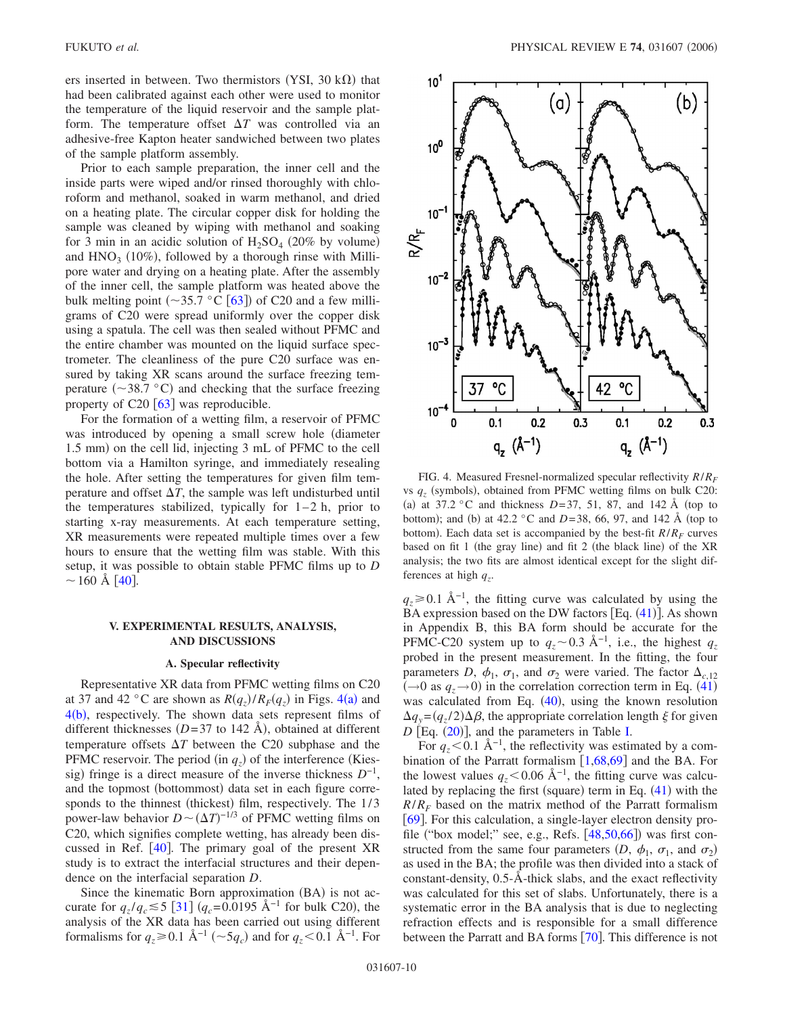ers inserted in between. Two thermistors (YSI, 30  $k\Omega$ ) that had been calibrated against each other were used to monitor the temperature of the liquid reservoir and the sample platform. The temperature offset  $\Delta T$  was controlled via an adhesive-free Kapton heater sandwiched between two plates of the sample platform assembly.

Prior to each sample preparation, the inner cell and the inside parts were wiped and/or rinsed thoroughly with chloroform and methanol, soaked in warm methanol, and dried on a heating plate. The circular copper disk for holding the sample was cleaned by wiping with methanol and soaking for 3 min in an acidic solution of  $H_2SO_4$  (20% by volume) and  $HNO<sub>3</sub>$  (10%), followed by a thorough rinse with Millipore water and drying on a heating plate. After the assembly of the inner cell, the sample platform was heated above the bulk melting point  $(\sim 35.7 \degree C \ [63])$  $(\sim 35.7 \degree C \ [63])$  $(\sim 35.7 \degree C \ [63])$  of C20 and a few milligrams of C20 were spread uniformly over the copper disk using a spatula. The cell was then sealed without PFMC and the entire chamber was mounted on the liquid surface spectrometer. The cleanliness of the pure C20 surface was ensured by taking XR scans around the surface freezing temperature ( $\sim$ 38.7 °C) and checking that the surface freezing property of  $C_2$ 0 [[63](#page-17-41)] was reproducible.

For the formation of a wetting film, a reservoir of PFMC was introduced by opening a small screw hole diameter 1.5 mm) on the cell lid, injecting 3 mL of PFMC to the cell bottom via a Hamilton syringe, and immediately resealing the hole. After setting the temperatures for given film temperature and offset  $\Delta T$ , the sample was left undisturbed until the temperatures stabilized, typically for  $1-2$  h, prior to starting x-ray measurements. At each temperature setting, XR measurements were repeated multiple times over a few hours to ensure that the wetting film was stable. With this setup, it was possible to obtain stable PFMC films up to *D*  $\sim$  160 Å |[40](#page-17-21)|.

# **V. EXPERIMENTAL RESULTS, ANALYSIS, AND DISCUSSIONS**

### **A. Specular reflectivity**

Representative XR data from PFMC wetting films on C20 at 37 and [4](#page-9-0)2 °C are shown as  $R(q_z)/R_F(q_z)$  in Figs. 4(a) and  $4(b)$  $4(b)$ , respectively. The shown data sets represent films of different thicknesses  $(D=37$  to 142 Å), obtained at different temperature offsets  $\Delta T$  between the C20 subphase and the PFMC reservoir. The period (in  $q_z$ ) of the interference (Kiessig) fringe is a direct measure of the inverse thickness *D*<sup>−1</sup>, and the topmost (bottommost) data set in each figure corresponds to the thinnest (thickest) film, respectively. The 1/3 power-law behavior  $D \sim (\Delta T)^{-1/3}$  of PFMC wetting films on C20, which signifies complete wetting, has already been discussed in Ref.  $[40]$  $[40]$  $[40]$ . The primary goal of the present XR study is to extract the interfacial structures and their dependence on the interfacial separation *D*.

Since the kinematic Born approximation (BA) is not accurate for  $q_z/q_c \le 5$  [[31](#page-17-17)]  $(q_c=0.0195 \text{ Å}^{-1})$  for bulk C20), the analysis of the XR data has been carried out using different formalisms for  $q_z \ge 0.1$  Å<sup>-1</sup> (~5 $q_c$ ) and for  $q_z \le 0.1$  Å<sup>-1</sup>. For

<span id="page-9-0"></span>

FIG. 4. Measured Fresnel-normalized specular reflectivity *R*/*RF* vs  $q_z$  (symbols), obtained from PFMC wetting films on bulk C20: (a) at 37.2 °C and thickness  $D=37$ , 51, 87, and 142 Å (top to bottom); and (b) at  $42.2 \text{ °C}$  and  $D=38$ , 66, 97, and 142 Å (top to bottom). Each data set is accompanied by the best-fit  $R/R_F$  curves based on fit 1 (the gray line) and fit 2 (the black line) of the XR analysis; the two fits are almost identical except for the slight differences at high  $q_z$ .

 $q_z \ge 0.1$  Å<sup>-1</sup>, the fitting curve was calculated by using the BA expression based on the DW factors [Eq. ([41](#page-8-0))]. As shown in Appendix B, this BA form should be accurate for the PFMC-C20 system up to  $q_z \sim 0.3 \text{ Å}^{-1}$ , i.e., the highest  $q_z$ probed in the present measurement. In the fitting, the four parameters *D*,  $\phi_1$ ,  $\sigma_1$ , and  $\sigma_2$  were varied. The factor  $\Delta_{c,12}$  $(\rightarrow 0 \text{ as } q_z \rightarrow 0)$  in the correlation correction term in Eq. ([41](#page-8-0)) was calculated from Eq.  $(40)$  $(40)$  $(40)$ , using the known resolution  $\Delta q_y = (q_z/2) \Delta \beta$ , the appropriate correlation length  $\xi$  for given  $D$  [Eq.  $(20)$  $(20)$  $(20)$ ], and the parameters in Table [I.](#page-6-0)

For  $q_z$ <0.1 Å<sup>-1</sup>, the reflectivity was estimated by a combination of the Parratt formalism  $[1,68,69]$  $[1,68,69]$  $[1,68,69]$  $[1,68,69]$  $[1,68,69]$  and the BA. For the lowest values  $q_z \leq 0.06$  Å<sup>-1</sup>, the fitting curve was calculated by replacing the first (square) term in Eq.  $(41)$  $(41)$  $(41)$  with the  $R/R_F$  based on the matrix method of the Parratt formalism [[69](#page-17-45)]. For this calculation, a single-layer electron density pro-file ("box model;" see, e.g., Refs. [[48,](#page-17-46)[50,](#page-17-47)[66](#page-17-38)]) was first constructed from the same four parameters  $(D, \phi_1, \sigma_1, \text{ and } \sigma_2)$ as used in the BA; the profile was then divided into a stack of constant-density, 0.5-Å-thick slabs, and the exact reflectivity was calculated for this set of slabs. Unfortunately, there is a systematic error in the BA analysis that is due to neglecting refraction effects and is responsible for a small difference between the Parratt and BA forms [[70](#page-17-48)]. This difference is not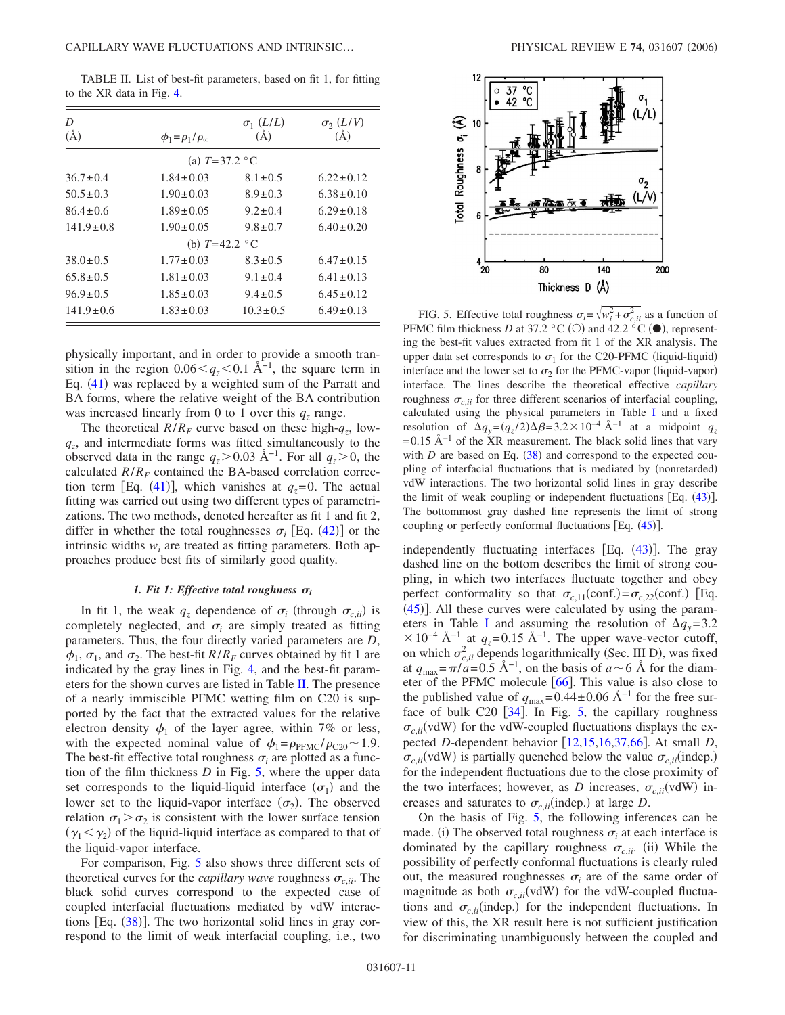<span id="page-10-0"></span>TABLE II. List of best-fit parameters, based on fit 1, for fitting to the XR data in Fig. [4.](#page-9-0)

| D<br>$(\AA)$    | $\phi_1 = \rho_1/\rho_\infty$  | $\sigma_1$ ( <i>L</i> / <i>L</i> )<br>(A) | $\sigma_2$ ( <i>L</i> /V)<br>(A) | (L/L)<br>緋<br>$\mathfrak{S}$ 10<br>ь-                                                          |
|-----------------|--------------------------------|-------------------------------------------|----------------------------------|------------------------------------------------------------------------------------------------|
|                 | (a) $T = 37.2$ °C              |                                           |                                  | Roughness<br>8                                                                                 |
| $36.7 \pm 0.4$  | $1.84 \pm 0.03$                | $8.1 \pm 0.5$                             | $6.22 \pm 0.12$                  | σ,                                                                                             |
| $50.5 \pm 0.3$  | $1.90 \pm 0.03$                | $8.9 \pm 0.3$                             | $6.38 \pm 0.10$                  | 画(l/V)                                                                                         |
| $86.4 \pm 0.6$  | $1.89 \pm 0.05$                | $9.2 \pm 0.4$                             | $6.29 \pm 0.18$                  | <b>夜夜恋医童</b><br>Total                                                                          |
| $141.9 \pm 0.8$ | $1.90 \pm 0.05$                | $9.8 \pm 0.7$                             | $6.40 \pm 0.20$                  |                                                                                                |
|                 | (b) $T=42.2 \text{ }^{\circ}C$ |                                           |                                  |                                                                                                |
| $38.0 \pm 0.5$  | $1.77 \pm 0.03$                | $8.3 \pm 0.5$                             | $6.47 \pm 0.15$                  |                                                                                                |
| $65.8 \pm 0.5$  | $1.81 \pm 0.03$                | $9.1 \pm 0.4$                             | $6.41 \pm 0.13$                  | 20<br>80<br>140                                                                                |
| $96.9 \pm 0.5$  | $1.85 \pm 0.03$                | $9.4 \pm 0.5$                             | $6.45 \pm 0.12$                  | Thickness $D(\lambda)$                                                                         |
| $141.9 \pm 0.6$ | $1.83 \pm 0.03$                | $10.3 \pm 0.5$                            | $6.49 \pm 0.13$                  | FIG. 5. Effective total roughness $\sigma_i = \sqrt{w_i^2 + \sigma_{c,ii}^2}$ as a function of |

physically important, and in order to provide a smooth transition in the region  $0.06 \leq q_{7} \leq 0.1$  Å<sup>-1</sup>, the square term in Eq. ([41](#page-8-0)) was replaced by a weighted sum of the Parratt and BA forms, where the relative weight of the BA contribution was increased linearly from 0 to 1 over this  $q_z$  range.

The theoretical  $R/R_F$  curve based on these high- $q_z$ , low*qz*, and intermediate forms was fitted simultaneously to the observed data in the range  $q_z>0.03$  Å<sup>-1</sup>. For all  $q_z>0$ , the calculated  $R/R_F$  contained the BA-based correlation correc-tion term [Eq. ([41](#page-8-0))], which vanishes at  $q_z = 0$ . The actual fitting was carried out using two different types of parametrizations. The two methods, denoted hereafter as fit 1 and fit 2, differ in whether the total roughnesses  $\sigma_i$  [Eq. ([42](#page-8-1))] or the intrinsic widths  $w_i$  are treated as fitting parameters. Both approaches produce best fits of similarly good quality.

### *1. Fit 1: Effective total roughness*  $\sigma_i$

In fit 1, the weak  $q_z$  dependence of  $\sigma_i$  (through  $\sigma_{c,i}$ ) is completely neglected, and  $\sigma_i$  are simply treated as fitting parameters. Thus, the four directly varied parameters are *D*,  $\phi_1$ ,  $\sigma_1$ , and  $\sigma_2$ . The best-fit *R*/*R<sub>F</sub>* curves obtained by fit 1 are indicated by the gray lines in Fig. [4,](#page-9-0) and the best-fit parameters for the shown curves are listed in Table [II.](#page-10-0) The presence of a nearly immiscible PFMC wetting film on C20 is supported by the fact that the extracted values for the relative electron density  $\phi_1$  of the layer agree, within 7% or less, with the expected nominal value of  $\phi_1 = \rho_{\text{PEMC}}/\rho_{\text{C20}} \sim 1.9$ . The best-fit effective total roughness  $\sigma_i$  are plotted as a function of the film thickness *D* in Fig. [5,](#page-10-1) where the upper data set corresponds to the liquid-liquid interface  $(\sigma_1)$  and the lower set to the liquid-vapor interface  $(\sigma_2)$ . The observed relation  $\sigma_1 > \sigma_2$  is consistent with the lower surface tension  $(\gamma_1 < \gamma_2)$  of the liquid-liquid interface as compared to that of the liquid-vapor interface.

For comparison, Fig. [5](#page-10-1) also shows three different sets of theoretical curves for the *capillary wave* roughness  $\sigma_{c,i,i}$ . The black solid curves correspond to the expected case of coupled interfacial fluctuations mediated by vdW interac-tions [Eq. ([38](#page-7-1))]. The two horizontal solid lines in gray correspond to the limit of weak interfacial coupling, i.e., two

<span id="page-10-1"></span>

PFMC film thickness *D* at 37.2 °C (O) and 42.2 °C ( $\bullet$ ), representing the best-fit values extracted from fit 1 of the XR analysis. The upper data set corresponds to  $\sigma_1$  for the C20-PFMC (liquid-liquid) interface and the lower set to  $\sigma_2$  for the PFMC-vapor (liquid-vapor) interface. The lines describe the theoretical effective *capillary* roughness  $\sigma_{c,i}$  for three different scenarios of interfacial coupling, calculated using the physical parameters in Table [I](#page-6-0) and a fixed resolution of  $\Delta q_y = (q_z/2) \Delta \beta = 3.2 \times 10^{-4} \text{ Å}^{-1}$  at a midpoint  $q_z$ =0.15 Å<sup> $-1$ </sup> of the XR measurement. The black solid lines that vary with  $D$  are based on Eq.  $(38)$  $(38)$  $(38)$  and correspond to the expected coupling of interfacial fluctuations that is mediated by (nonretarded) vdW interactions. The two horizontal solid lines in gray describe the limit of weak coupling or independent fluctuations [Eq. ([43](#page-8-2))]. The bottommost gray dashed line represents the limit of strong coupling or perfectly conformal fluctuations  $[Eq. (45)].$  $[Eq. (45)].$  $[Eq. (45)].$ 

independently fluctuating interfaces [Eq. ([43](#page-8-2))]. The gray dashed line on the bottom describes the limit of strong coupling, in which two interfaces fluctuate together and obey perfect conformality so that  $\sigma_{c,11}(\text{conf.}) = \sigma_{c,22}(\text{conf.})$  [Eq.  $(45)$  $(45)$  $(45)$ ]. All these curves were calculated by using the param-eters in Table [I](#page-6-0) and assuming the resolution of  $\Delta q_v = 3.2$  $\times 10^{-4}$  Å<sup>-1</sup> at  $q_z$ =0.15 Å<sup>-1</sup>. The upper wave-vector cutoff, on which  $\sigma_{c,ii}^2$  depends logarithmically (Sec. III D), was fixed at  $q_{\text{max}} = \pi/a = 0.5 \text{ Å}^{-1}$ , on the basis of  $a \sim 6 \text{ Å}$  for the diameter of the PFMC molecule  $[66]$  $[66]$  $[66]$ . This value is also close to the published value of  $q_{\text{max}}=0.44\pm0.06 \text{ Å}^{-1}$  for the free surface of bulk C20  $[34]$  $[34]$  $[34]$ . In Fig. [5,](#page-10-1) the capillary roughness  $\sigma_{c,i}$  (vdW) for the vdW-coupled fluctuations displays the expected *D*-dependent behavior  $\left[12,15,16,37,66\right]$  $\left[12,15,16,37,66\right]$  $\left[12,15,16,37,66\right]$  $\left[12,15,16,37,66\right]$  $\left[12,15,16,37,66\right]$  $\left[12,15,16,37,66\right]$  $\left[12,15,16,37,66\right]$ . At small *D*,  $\sigma_{c,i}$  (vdW) is partially quenched below the value  $\sigma_{c,i}$  (indep.) for the independent fluctuations due to the close proximity of the two interfaces; however, as *D* increases,  $\sigma_{c,i}$  (vdW) increases and saturates to  $\sigma_{c,ii}$  (indep.) at large *D*.

On the basis of Fig. [5,](#page-10-1) the following inferences can be made. (i) The observed total roughness  $\sigma_i$  at each interface is dominated by the capillary roughness  $\sigma_{c,ii}$ . (ii) While the possibility of perfectly conformal fluctuations is clearly ruled out, the measured roughnesses  $\sigma_i$  are of the same order of magnitude as both  $\sigma_{c,i}$  (vdW) for the vdW-coupled fluctuations and  $\sigma_{c,ii}$  (indep.) for the independent fluctuations. In view of this, the XR result here is not sufficient justification for discriminating unambiguously between the coupled and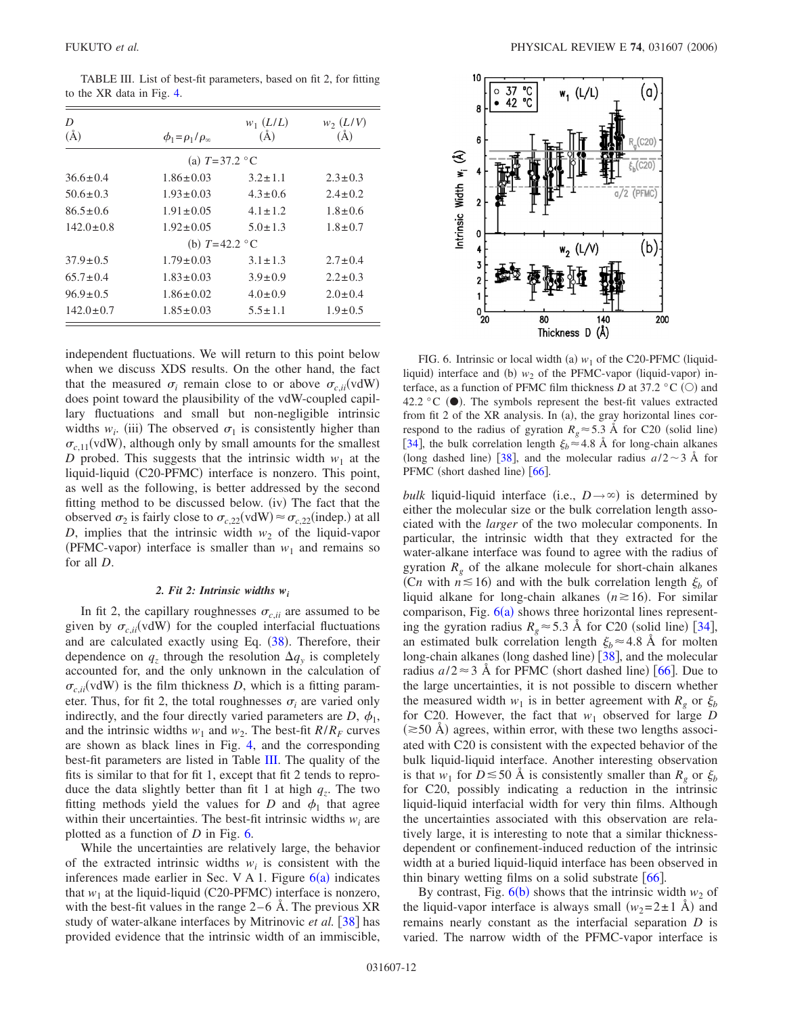| D                              |                               | $w_1(L/L)$    | $w_2(L/V)$    |  |  |  |  |  |
|--------------------------------|-------------------------------|---------------|---------------|--|--|--|--|--|
| $(\AA)$                        | $\phi_1 = \rho_1/\rho_\infty$ | $(\AA)$       | $\rm(\AA)$    |  |  |  |  |  |
| (a) $T = 37.2$ °C              |                               |               |               |  |  |  |  |  |
| $36.6 \pm 0.4$                 | $1.86 \pm 0.03$               | $3.2 \pm 1.1$ | $2.3 \pm 0.3$ |  |  |  |  |  |
| $50.6 \pm 0.3$                 | $1.93 \pm 0.03$               | $4.3 \pm 0.6$ | $2.4 \pm 0.2$ |  |  |  |  |  |
| $86.5 + 0.6$                   | $1.91 \pm 0.05$               | $4.1 + 1.2$   | $1.8 + 0.6$   |  |  |  |  |  |
| $142.0 \pm 0.8$                | $1.92 \pm 0.05$               | $5.0 \pm 1.3$ | $1.8 \pm 0.7$ |  |  |  |  |  |
| (b) $T=42.2 \text{ }^{\circ}C$ |                               |               |               |  |  |  |  |  |
| $37.9 \pm 0.5$                 | $1.79 \pm 0.03$               | $3.1 \pm 1.3$ | $2.7 \pm 0.4$ |  |  |  |  |  |
| $65.7 + 0.4$                   | $1.83 \pm 0.03$               | $3.9 \pm 0.9$ | $2.2 \pm 0.3$ |  |  |  |  |  |
| $96.9 \pm 0.5$                 | $1.86 \pm 0.02$               | $4.0 \pm 0.9$ | $2.0 + 0.4$   |  |  |  |  |  |
| $142.0 \pm 0.7$                | $1.85 \pm 0.03$               | $5.5 \pm 1.1$ | $1.9 \pm 0.5$ |  |  |  |  |  |

<span id="page-11-0"></span>TABLE III. List of best-fit parameters, based on fit 2, for fitting to the XR data in Fig. [4.](#page-9-0)

independent fluctuations. We will return to this point below when we discuss XDS results. On the other hand, the fact that the measured  $\sigma_i$  remain close to or above  $\sigma_{c,ii}(\text{vdW})$ does point toward the plausibility of the vdW-coupled capillary fluctuations and small but non-negligible intrinsic widths  $w_i$ . (iii) The observed  $\sigma_1$  is consistently higher than  $\sigma_{c,11}$ (vdW), although only by small amounts for the smallest *D* probed. This suggests that the intrinsic width  $w_1$  at the liquid-liquid (C20-PFMC) interface is nonzero. This point, as well as the following, is better addressed by the second fitting method to be discussed below. (iv) The fact that the observed  $\sigma_2$  is fairly close to  $\sigma_{c,22}(\text{vdW}) \approx \sigma_{c,22}(\text{indep.})$  at all *D*, implies that the intrinsic width  $w_2$  of the liquid-vapor (PFMC-vapor) interface is smaller than  $w_1$  and remains so for all *D*.

#### *2. Fit 2: Intrinsic widths wi*

In fit 2, the capillary roughnesses  $\sigma_{c,ii}$  are assumed to be given by  $\sigma_{c,i}$  (vdW) for the coupled interfacial fluctuations and are calculated exactly using Eq. ([38](#page-7-1)). Therefore, their dependence on  $q_z$  through the resolution  $\Delta q_y$  is completely accounted for, and the only unknown in the calculation of  $\sigma_{c,i}$  (vdW) is the film thickness *D*, which is a fitting parameter. Thus, for fit 2, the total roughnesses  $\sigma_i$  are varied only indirectly, and the four directly varied parameters are  $D$ ,  $\phi_1$ , and the intrinsic widths  $w_1$  and  $w_2$ . The best-fit  $R/R_F$  curves are shown as black lines in Fig. [4,](#page-9-0) and the corresponding best-fit parameters are listed in Table [III.](#page-11-0) The quality of the fits is similar to that for fit 1, except that fit 2 tends to reproduce the data slightly better than fit 1 at high  $q<sub>z</sub>$ . The two fitting methods yield the values for *D* and  $\phi_1$  that agree within their uncertainties. The best-fit intrinsic widths  $w_i$  are plotted as a function of *D* in Fig. [6.](#page-11-1)

While the uncertainties are relatively large, the behavior of the extracted intrinsic widths  $w_i$  is consistent with the inferences made earlier in Sec. V A 1. Figure  $6(a)$  $6(a)$  indicates that  $w_1$  at the liquid-liquid (C20-PFMC) interface is nonzero, with the best-fit values in the range  $2-6$  Å. The previous  $XR$ study of water-alkane interfaces by Mitrinovic *et al.* [[38](#page-17-22)] has provided evidence that the intrinsic width of an immiscible,

<span id="page-11-1"></span>

FIG. 6. Intrinsic or local width (a)  $w_1$  of the C20-PFMC (liquidliquid) interface and (b)  $w_2$  of the PFMC-vapor (liquid-vapor) interface, as a function of PFMC film thickness  $D$  at 37.2 °C (O) and 42.2 °C  $(\bullet)$ . The symbols represent the best-fit values extracted from fit 2 of the XR analysis. In (a), the gray horizontal lines correspond to the radius of gyration  $R_g \approx 5.3$  Å for C20 (solid line) [[34](#page-17-14)], the bulk correlation length  $\xi_b \approx 4.8$  Å for long-chain alkanes (long dashed line) [[38](#page-17-22)], and the molecular radius  $a/2 \sim 3$  Å for PFMC (short dashed line) [[66](#page-17-38)].

*bulk* liquid-liquid interface (i.e.,  $D \rightarrow \infty$ ) is determined by either the molecular size or the bulk correlation length associated with the *larger* of the two molecular components. In particular, the intrinsic width that they extracted for the water-alkane interface was found to agree with the radius of gyration  $R<sub>g</sub>$  of the alkane molecule for short-chain alkanes (C*n* with  $n \le 16$ ) and with the bulk correlation length  $\xi_b$  of liquid alkane for long-chain alkanes  $(n \ge 16)$ . For similar comparison, Fig.  $6(a)$  $6(a)$  shows three horizontal lines representing the gyration radius  $R_g \approx 5.3 \text{ Å}$  for C20 (solid line) [[34](#page-17-14)], an estimated bulk correlation length  $\xi_b \approx 4.8$  Å for molten long-chain alkanes (long dashed line) [[38](#page-17-22)], and the molecular radius  $a/2 \approx 3$  Å for PFMC (short dashed line) [[66](#page-17-38)]. Due to the large uncertainties, it is not possible to discern whether the measured width  $w_1$  is in better agreement with  $R_g$  or  $\xi_b$ for C20. However, the fact that  $w_1$  observed for large *D*  $(\geq 50 \text{ Å})$  agrees, within error, with these two lengths associated with C20 is consistent with the expected behavior of the bulk liquid-liquid interface. Another interesting observation is that  $w_1$  for  $D \le 50$  Å is consistently smaller than  $R_g$  or  $\xi_b$ for C20, possibly indicating a reduction in the intrinsic liquid-liquid interfacial width for very thin films. Although the uncertainties associated with this observation are relatively large, it is interesting to note that a similar thicknessdependent or confinement-induced reduction of the intrinsic width at a buried liquid-liquid interface has been observed in thin binary wetting films on a solid substrate  $\lceil 66 \rceil$  $\lceil 66 \rceil$  $\lceil 66 \rceil$ .

By contrast, Fig.  $6(b)$  $6(b)$  shows that the intrinsic width  $w_2$  of the liquid-vapor interface is always small  $(w_2 = 2 \pm 1 \text{ Å})$  and remains nearly constant as the interfacial separation *D* is varied. The narrow width of the PFMC-vapor interface is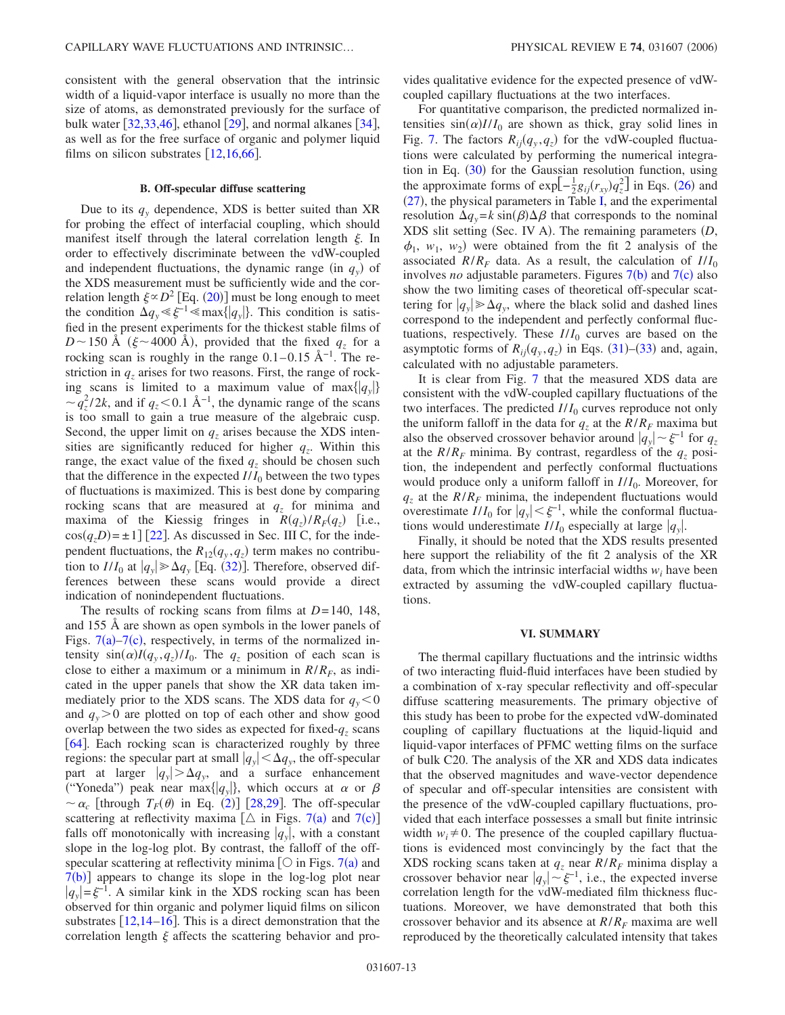consistent with the general observation that the intrinsic width of a liquid-vapor interface is usually no more than the size of atoms, as demonstrated previously for the surface of bulk water  $\left[32,33,46\right]$  $\left[32,33,46\right]$  $\left[32,33,46\right]$  $\left[32,33,46\right]$  $\left[32,33,46\right]$ , ethanol  $\left[29\right]$  $\left[29\right]$  $\left[29\right]$ , and normal alkanes  $\left[34\right]$  $\left[34\right]$  $\left[34\right]$ , as well as for the free surface of organic and polymer liquid films on silicon substrates  $[12,16,66]$  $[12,16,66]$  $[12,16,66]$  $[12,16,66]$  $[12,16,66]$ .

### **B. Off-specular diffuse scattering**

Due to its  $q<sub>y</sub>$  dependence, XDS is better suited than XR for probing the effect of interfacial coupling, which should manifest itself through the lateral correlation length  $\xi$ . In order to effectively discriminate between the vdW-coupled and independent fluctuations, the dynamic range (in  $q_y$ ) of the XDS measurement must be sufficiently wide and the correlation length  $\xi \propto D^2$  [Eq. ([20](#page-4-4))] must be long enough to meet the condition  $\Delta q_v \le \xi^{-1} \le \max\{|q_v|\}$ . This condition is satisfied in the present experiments for the thickest stable films of  $D \sim 150$  Å ( $\xi \sim 4000$  Å), provided that the fixed  $q_z$  for a rocking scan is roughly in the range  $0.1-0.15$  Å<sup>-1</sup>. The restriction in  $q_z$  arises for two reasons. First, the range of rocking scans is limited to a maximum value of max $\{ |q_v| \}$  $\sim q_z^2/2k$ , and if  $q_z < 0.1 \text{ Å}^{-1}$ , the dynamic range of the scans is too small to gain a true measure of the algebraic cusp. Second, the upper limit on  $q<sub>z</sub>$  arises because the XDS intensities are significantly reduced for higher  $q<sub>z</sub>$ . Within this range, the exact value of the fixed  $q_z$  should be chosen such that the difference in the expected  $I/I_0$  between the two types of fluctuations is maximized. This is best done by comparing rocking scans that are measured at  $q<sub>z</sub>$  for minima and maxima of the Kiessig fringes in  $R(q_z)/R_F(q_z)$  [i.e.,  $cos(q_zD) = \pm 1$  [[22](#page-17-7)]. As discussed in Sec. III C, for the independent fluctuations, the  $R_{12}(q_y, q_z)$  term makes no contribution to  $I/I_0$  at  $|q_y| \ge \Delta q_y$  [Eq. ([32](#page-7-3))]. Therefore, observed differences between these scans would provide a direct indication of nonindependent fluctuations.

The results of rocking scans from films at *D*=140, 148, and 155 Å are shown as open symbols in the lower panels of Figs.  $7(a) - 7(c)$  $7(a) - 7(c)$ , respectively, in terms of the normalized intensity  $\sin(\alpha)I(q_y, q_z)/I_0$ . The  $q_z$  position of each scan is close to either a maximum or a minimum in  $R/R<sub>F</sub>$ , as indicated in the upper panels that show the XR data taken immediately prior to the XDS scans. The XDS data for  $q_y < 0$ and  $q_y > 0$  are plotted on top of each other and show good overlap between the two sides as expected for fixed- $q_z$  scans [[64](#page-17-42)]. Each rocking scan is characterized roughly by three regions: the specular part at small  $|q_{y}| < \Delta q_{y}$ , the off-specular part at larger  $|q_{y}| > \Delta q_{y}$ , and a surface enhancement ("Yoneda") peak near max $\{|q_{y}|\}$ , which occurs at  $\alpha$  or  $\beta$  $\sim \alpha_c$  [through  $T_F(\theta)$  in Eq. ([2](#page-2-0))] [[28,](#page-17-11)[29](#page-17-13)]. The off-specular scattering at reflectivity maxima  $[\triangle$  in Figs. [7](#page-13-0)(a) and 7(c)] falls off monotonically with increasing  $|q_y|$ , with a constant slope in the log-log plot. By contrast, the falloff of the offspecular scattering at reflectivity minima  $[O]$  in Figs. [7](#page-13-0)(a) and  $7(b)$  $7(b)$ ] appears to change its slope in the log-log plot near  $|q_y| = \xi^{-1}$ . A similar kink in the XDS rocking scan has been observed for thin organic and polymer liquid films on silicon substrates  $[12,14-16]$  $[12,14-16]$  $[12,14-16]$  $[12,14-16]$ . This is a direct demonstration that the correlation length  $\xi$  affects the scattering behavior and provides qualitative evidence for the expected presence of vdWcoupled capillary fluctuations at the two interfaces.

For quantitative comparison, the predicted normalized intensities  $sin(\alpha)I/I_0$  are shown as thick, gray solid lines in Fig. [7.](#page-13-0) The factors  $R_{ij}(q_y, q_z)$  for the vdW-coupled fluctuations were calculated by performing the numerical integra-tion in Eq. ([30](#page-6-5)) for the Gaussian resolution function, using the approximate forms of  $exp[-\frac{1}{2}g_{ij}(r_{xy})q_z^2]$  in Eqs. ([26](#page-6-1)) and  $(27)$  $(27)$  $(27)$ , the physical parameters in Table [I,](#page-6-0) and the experimental resolution  $\Delta q_y = k \sin(\beta) \Delta \beta$  that corresponds to the nominal XDS slit setting (Sec. IV A). The remaining parameters (D,  $\phi_1$ ,  $w_1$ ,  $w_2$ ) were obtained from the fit 2 analysis of the associated  $R/R_F$  data. As a result, the calculation of  $I/I_0$ involves *no* adjustable parameters. Figures  $7(b)$  $7(b)$  and  $7(c)$  also show the two limiting cases of theoretical off-specular scattering for  $|q_{y}| \geq \Delta q_{y}$ , where the black solid and dashed lines correspond to the independent and perfectly conformal fluctuations, respectively. These  $I/I_0$  curves are based on the asymptotic forms of  $R_{ij}(q_y, q_z)$  in Eqs. ([31](#page-7-4))–([33](#page-7-4)) and, again, calculated with no adjustable parameters.

It is clear from Fig. [7](#page-13-0) that the measured XDS data are consistent with the vdW-coupled capillary fluctuations of the two interfaces. The predicted  $I/I_0$  curves reproduce not only the uniform falloff in the data for  $q_z$  at the  $R/R_F$  maxima but also the observed crossover behavior around  $|q_v| \sim \xi^{-1}$  for  $q_z$ at the  $R/R_F$  minima. By contrast, regardless of the  $q_z$  position, the independent and perfectly conformal fluctuations would produce only a uniform falloff in  $I/I_0$ . Moreover, for  $q<sub>z</sub>$  at the  $R/R<sub>F</sub>$  minima, the independent fluctuations would overestimate *I*/*I*<sub>0</sub> for  $|q_y| < \xi^{-1}$ , while the conformal fluctuations would underestimate  $I/I_0$  especially at large  $|q_y|$ .

Finally, it should be noted that the XDS results presented here support the reliability of the fit 2 analysis of the XR data, from which the intrinsic interfacial widths *wi* have been extracted by assuming the vdW-coupled capillary fluctuations.

### **VI. SUMMARY**

The thermal capillary fluctuations and the intrinsic widths of two interacting fluid-fluid interfaces have been studied by a combination of x-ray specular reflectivity and off-specular diffuse scattering measurements. The primary objective of this study has been to probe for the expected vdW-dominated coupling of capillary fluctuations at the liquid-liquid and liquid-vapor interfaces of PFMC wetting films on the surface of bulk C20. The analysis of the XR and XDS data indicates that the observed magnitudes and wave-vector dependence of specular and off-specular intensities are consistent with the presence of the vdW-coupled capillary fluctuations, provided that each interface possesses a small but finite intrinsic width  $w_i \neq 0$ . The presence of the coupled capillary fluctuations is evidenced most convincingly by the fact that the XDS rocking scans taken at  $q_z$  near  $R/R_F$  minima display a crossover behavior near  $|q_y| \sim \xi^{-1}$ , i.e., the expected inverse correlation length for the vdW-mediated film thickness fluctuations. Moreover, we have demonstrated that both this crossover behavior and its absence at  $R/R_F$  maxima are well reproduced by the theoretically calculated intensity that takes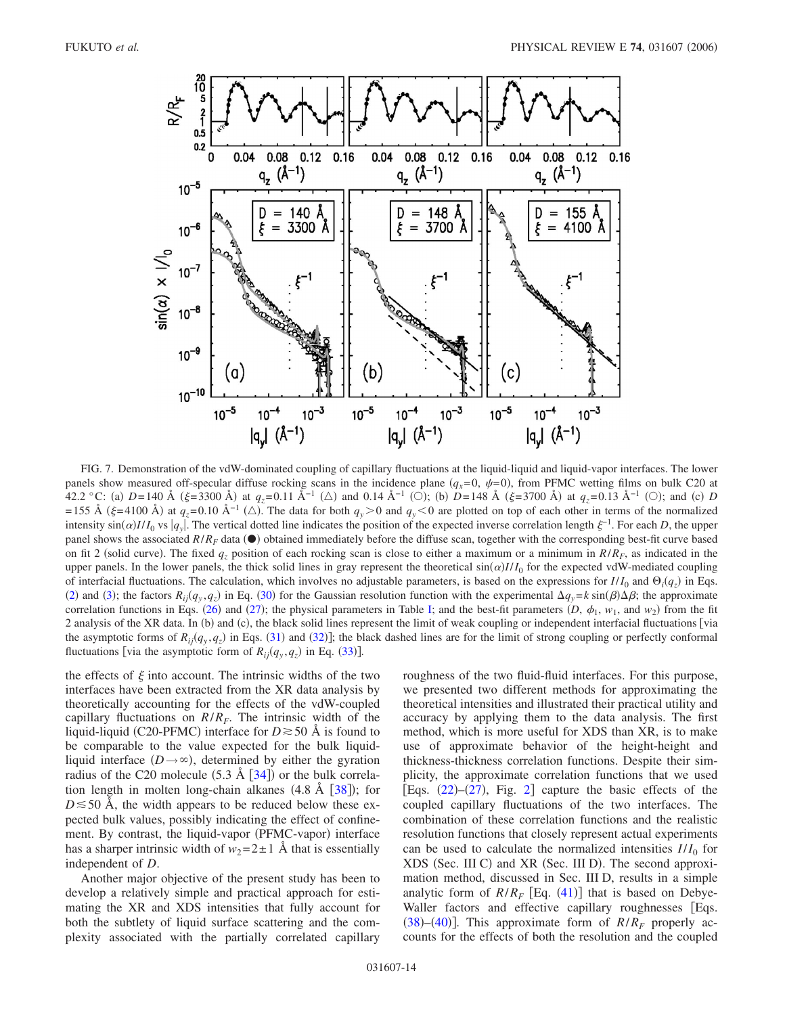<span id="page-13-0"></span>

FIG. 7. Demonstration of the vdW-dominated coupling of capillary fluctuations at the liquid-liquid and liquid-vapor interfaces. The lower panels show measured off-specular diffuse rocking scans in the incidence plane  $(q_x=0, \psi=0)$ , from PFMC wetting films on bulk C20 at 42.2 °C: (a) D=140 Å ( $\xi$ =3300 Å) at  $q_z$ =0.11 Å<sup>-1</sup> (△) and 0.14 Å<sup>-1</sup> (○); (b) D=148 Å ( $\xi$ =3700 Å) at  $q_z$ =0.13 Å<sup>-1</sup> (○); and (c) D =155 Å ( $\xi$ =4100 Å) at  $q_z$ =0.10 Å<sup>-1</sup> ( $\triangle$ ). The data for both  $q_y>0$  and  $q_y<0$  are plotted on top of each other in terms of the normalized intensity  $\sin(\alpha) I/I_0$  vs  $|q_y|$ . The vertical dotted line indicates the position of the expected inverse correlation length  $\xi^{-1}$ . For each *D*, the upper panel shows the associated  $R/R_F$  data  $(\bullet)$  obtained immediately before the diffuse scan, together with the corresponding best-fit curve based on fit 2 (solid curve). The fixed  $q_z$  position of each rocking scan is close to either a maximum or a minimum in  $R/R<sub>F</sub>$ , as indicated in the upper panels. In the lower panels, the thick solid lines in gray represent the theoretical  $sin(\alpha)I/I_0$  for the expected vdW-mediated coupling of interfacial fluctuations. The calculation, which involves no adjustable parameters, is based on the expressions for  $I/I_0$  and  $\Theta_i(q_z)$  in Eqs. ([2](#page-2-0)) and ([3](#page-2-3)); the factors  $R_{ij}(q_y, q_z)$  in Eq. ([30](#page-6-5)) for the Gaussian resolution function with the experimental  $\Delta q_y = k \sin(\beta) \Delta \beta$ ; the approximate correlation functions in Eqs. ([26](#page-6-1)) and ([27](#page-6-2)); the physical parameters in Table [I;](#page-6-0) and the best-fit parameters  $(D, \phi_1, w_1,$  and  $w_2)$  from the fit 2 analysis of the XR data. In (b) and (c), the black solid lines represent the limit of weak coupling or independent interfacial fluctuations [via the asymptotic forms of  $R_{ij}(q_y, q_z)$  in Eqs. ([31](#page-7-4)) and ([32](#page-7-3))]; the black dashed lines are for the limit of strong coupling or perfectly conformal fluctuations [via the asymptotic form of  $R_{ij}(q_y, q_z)$  in Eq. ([33](#page-7-4))].

the effects of  $\xi$  into account. The intrinsic widths of the two interfaces have been extracted from the XR data analysis by theoretically accounting for the effects of the vdW-coupled capillary fluctuations on  $R/R_F$ . The intrinsic width of the liquid-liquid (C20-PFMC) interface for  $D \ge 50$  Å is found to be comparable to the value expected for the bulk liquidliquid interface  $(D \rightarrow \infty)$ , determined by either the gyration radius of the C20 molecule  $(5.3 \text{ Å } [34])$  $(5.3 \text{ Å } [34])$  $(5.3 \text{ Å } [34])$  or the bulk correlation length in molten long-chain alkanes  $(4.8 \text{ Å } [38])$  $(4.8 \text{ Å } [38])$  $(4.8 \text{ Å } [38])$ ; for  $D \le 50$  Å, the width appears to be reduced below these expected bulk values, possibly indicating the effect of confinement. By contrast, the liquid-vapor (PFMC-vapor) interface has a sharper intrinsic width of  $w_2=2\pm 1$  Å that is essentially independent of *D*.

Another major objective of the present study has been to develop a relatively simple and practical approach for estimating the XR and XDS intensities that fully account for both the subtlety of liquid surface scattering and the complexity associated with the partially correlated capillary roughness of the two fluid-fluid interfaces. For this purpose, we presented two different methods for approximating the theoretical intensities and illustrated their practical utility and accuracy by applying them to the data analysis. The first method, which is more useful for XDS than XR, is to make use of approximate behavior of the height-height and thickness-thickness correlation functions. Despite their simplicity, the approximate correlation functions that we used [Eqs.  $(22)$  $(22)$  $(22)$ – $(27)$  $(27)$  $(27)$ , Fig. [2](#page-5-0)] capture the basic effects of the coupled capillary fluctuations of the two interfaces. The combination of these correlation functions and the realistic resolution functions that closely represent actual experiments can be used to calculate the normalized intensities  $I/I_0$  for XDS (Sec. III C) and XR (Sec. III D). The second approximation method, discussed in Sec. III D, results in a simple analytic form of  $R/R_F$  [Eq. ([41](#page-8-0))] that is based on Debye-Waller factors and effective capillary roughnesses [Eqs.  $(38)$  $(38)$  $(38)$ – $(40)$  $(40)$  $(40)$ ]. This approximate form of  $R/R_F$  properly accounts for the effects of both the resolution and the coupled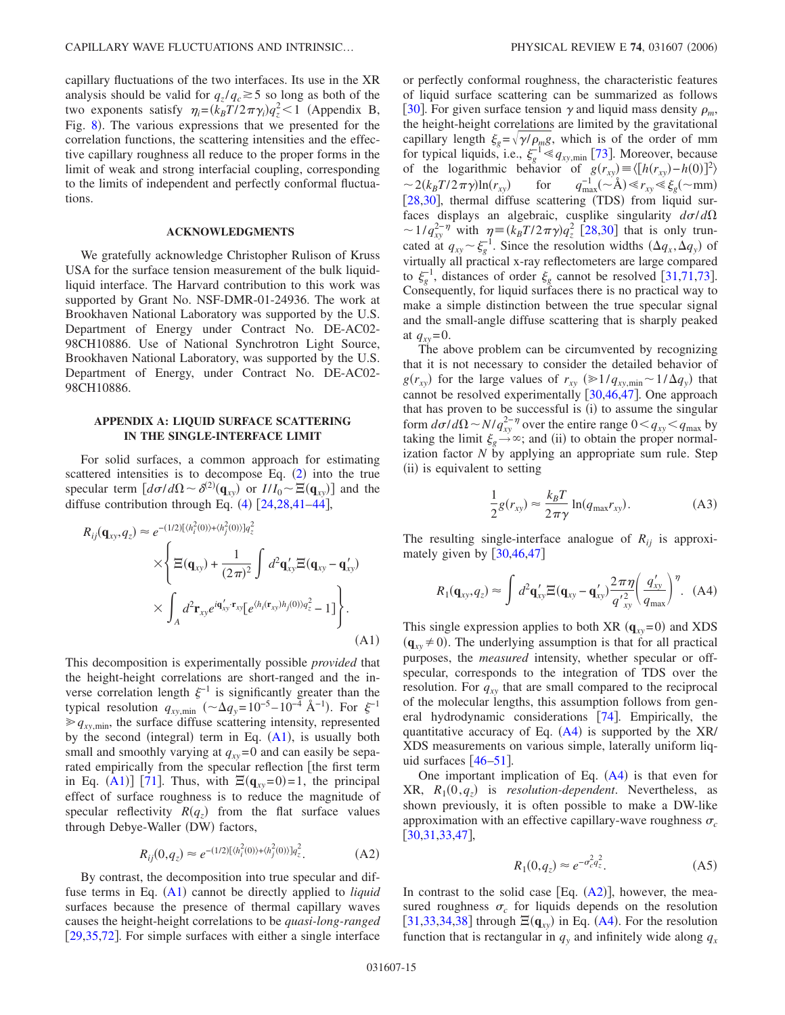capillary fluctuations of the two interfaces. Its use in the XR analysis should be valid for  $q_z/q_c \ge 5$  so long as both of the two exponents satisfy  $\eta_i = (k_B T / 2 \pi \gamma_i) q_z^2 < 1$  (Appendix B, Fig. [8](#page-15-2)). The various expressions that we presented for the correlation functions, the scattering intensities and the effective capillary roughness all reduce to the proper forms in the limit of weak and strong interfacial coupling, corresponding to the limits of independent and perfectly conformal fluctuations.

#### **ACKNOWLEDGMENTS**

We gratefully acknowledge Christopher Rulison of Kruss USA for the surface tension measurement of the bulk liquidliquid interface. The Harvard contribution to this work was supported by Grant No. NSF-DMR-01-24936. The work at Brookhaven National Laboratory was supported by the U.S. Department of Energy under Contract No. DE-AC02- 98CH10886. Use of National Synchrotron Light Source, Brookhaven National Laboratory, was supported by the U.S. Department of Energy, under Contract No. DE-AC02- 98CH10886.

# **APPENDIX A: LIQUID SURFACE SCATTERING IN THE SINGLE-INTERFACE LIMIT**

For solid surfaces, a common approach for estimating scattered intensities is to decompose Eq.  $(2)$  $(2)$  $(2)$  into the true specular term  $\left[d\sigma/d\Omega \sim \delta^{(2)}(\mathbf{q}_{xy})\right]$  or  $I/I_0 \sim \Xi(\mathbf{q}_{xy})$  and the diffuse contribution through Eq.  $(4)$  $(4)$  $(4)$   $[24,28,41-44]$  $[24,28,41-44]$  $[24,28,41-44]$  $[24,28,41-44]$  $[24,28,41-44]$  $[24,28,41-44]$ ,

<span id="page-14-2"></span>
$$
R_{ij}(\mathbf{q}_{xy}, q_z) \approx e^{-(1/2)[(h_i^2(0)) + \langle h_j^2(0) \rangle]q_z^2}
$$
  
 
$$
\times \left\{ \Xi(\mathbf{q}_{xy}) + \frac{1}{(2\pi)^2} \int d^2 \mathbf{q}_{xy}' \Xi(\mathbf{q}_{xy} - \mathbf{q}_{xy}') \times \int_A d^2 \mathbf{r}_{xy} e^{i\mathbf{q}_{xy}' \cdot \mathbf{r}_{xy}} [e^{\langle h_i(\mathbf{r}_{xy})h_j(0) \rangle q_z^2} - 1] \right\}.
$$
(A1)

This decomposition is experimentally possible *provided* that the height-height correlations are short-ranged and the inverse correlation length  $\xi^{-1}$  is significantly greater than the typical resolution  $q_{xy,min}$  ( $\sim \Delta q_y = 10^{-5} - 10^{-4}$  Å<sup>-1</sup>). For  $\xi^{-1}$  $\gg q_{xy,min}$ , the surface diffuse scattering intensity, represented by the second (integral) term in Eq.  $(A1)$  $(A1)$  $(A1)$ , is usually both small and smoothly varying at  $q_{xy}$ =0 and can easily be separated empirically from the specular reflection [the first term in Eq. ([A1](#page-14-2))] [[71](#page-17-52)]. Thus, with  $\Xi(\mathbf{q}_{xy}=0)=1$ , the principal effect of surface roughness is to reduce the magnitude of specular reflectivity  $R(q_z)$  from the flat surface values through Debye-Waller (DW) factors,

$$
R_{ij}(0, q_z) \approx e^{-(1/2)[\langle h_i^2(0) \rangle + \langle h_j^2(0) \rangle]q_z^2}.
$$
 (A2)

<span id="page-14-3"></span>By contrast, the decomposition into true specular and dif-fuse terms in Eq. ([A1](#page-14-2)) cannot be directly applied to *liquid* surfaces because the presence of thermal capillary waves causes the height-height correlations to be *quasi-long-ranged*  $[29,35,72]$  $[29,35,72]$  $[29,35,72]$  $[29,35,72]$  $[29,35,72]$ . For simple surfaces with either a single interface or perfectly conformal roughness, the characteristic features of liquid surface scattering can be summarized as follows [[30](#page-17-12)]. For given surface tension  $\gamma$  and liquid mass density  $\rho_m$ , the height-height correlations are limited by the gravitational capillary length  $\xi_g = \sqrt{\gamma/\rho_m g}$ , which is of the order of mm for typical liquids, i.e.,  $\xi_{g}^{-1} \leq q_{xy,\text{min}}$  [[73](#page-18-1)]. Moreover, because of the logarithmic behavior of  $g(r_{xy}) \equiv \langle [h(r_{xy}) - h(0)]^2 \rangle$  $\sim 2(k_B T/2\pi\gamma)\ln(r_{xy})$ for  $q_{\text{max}}^{-1}(\sim \mathring{A}) \ll r_{xy} \ll \xi_g(\sim \text{mm})$ [[28](#page-17-11)[,30](#page-17-12)], thermal diffuse scattering (TDS) from liquid surfaces displays an algebraic, cusplike singularity  $d\sigma/d\Omega$  $\sim 1/q_{xy}^{2-\eta}$  with  $\eta = (k_B T/2\pi \gamma) q_z^2$  [[28](#page-17-11)[,30](#page-17-12)] that is only truncated at  $q_{xy} \sim \xi_g^{-1}$ . Since the resolution widths  $(\Delta q_x, \Delta q_y)$  of virtually all practical x-ray reflectometers are large compared to  $\xi_g^{-1}$ , distances of order  $\xi_g$  cannot be resolved [[31,](#page-17-17)[71,](#page-17-52)[73](#page-18-1)]. Consequently, for liquid surfaces there is no practical way to make a simple distinction between the true specular signal and the small-angle diffuse scattering that is sharply peaked at  $q_{xy} = 0$ .

The above problem can be circumvented by recognizing that it is not necessary to consider the detailed behavior of  $g(r_{xy})$  for the large values of  $r_{xy} \approx 1/q_{xy,min} \sim 1/\Delta q_y$  that cannot be resolved experimentally  $[30,46,47]$  $[30,46,47]$  $[30,46,47]$  $[30,46,47]$  $[30,46,47]$ . One approach that has proven to be successful is (i) to assume the singular form  $d\sigma/d\Omega \sim N/q_{xy}^{2-\eta}$  over the entire range  $0 < q_{xy} < q_{max}$  by taking the limit  $\xi_g \rightarrow \infty$ ; and (ii) to obtain the proper normalization factor *N* by applying an appropriate sum rule. Step (ii) is equivalent to setting

$$
\frac{1}{2}g(r_{xy}) \approx \frac{k_B T}{2\pi\gamma} \ln(q_{\text{max}} r_{xy}).
$$
 (A3)

<span id="page-14-1"></span><span id="page-14-0"></span>The resulting single-interface analogue of  $R_{ii}$  is approximately given by  $[30,46,47]$  $[30,46,47]$  $[30,46,47]$  $[30,46,47]$  $[30,46,47]$ 

$$
R_1(\mathbf{q}_{xy}, q_z) \approx \int d^2 \mathbf{q}'_{xy} \Xi(\mathbf{q}_{xy} - \mathbf{q}'_{xy}) \frac{2\pi\eta}{q'_{xy}^2} \left(\frac{q'_{xy}}{q_{\text{max}}}\right)^{\eta} . \quad (A4)
$$

This single expression applies to both XR  $(\mathbf{q}_{xy}=0)$  and XDS  $(\mathbf{q}_{xy} \neq 0)$ . The underlying assumption is that for all practical purposes, the *measured* intensity, whether specular or offspecular, corresponds to the integration of TDS over the resolution. For  $q_{xy}$  that are small compared to the reciprocal of the molecular lengths, this assumption follows from general hydrodynamic considerations  $[74]$  $[74]$  $[74]$ . Empirically, the quantitative accuracy of Eq.  $(A4)$  $(A4)$  $(A4)$  is supported by the XR/ XDS measurements on various simple, laterally uniform liquid surfaces  $[46-51]$  $[46-51]$  $[46-51]$ .

One important implication of Eq.  $(A4)$  $(A4)$  $(A4)$  is that even for  $XR, R_1(0, q_z)$  is *resolution-dependent*. Nevertheless, as shown previously, it is often possible to make a DW-like approximation with an effective capillary-wave roughness  $\sigma_c$  $[30,31,33,47]$  $[30,31,33,47]$  $[30,31,33,47]$  $[30,31,33,47]$  $[30,31,33,47]$  $[30,31,33,47]$ ,

$$
R_1(0, q_z) \approx e^{-\sigma_c^2 q_z^2}.\tag{A5}
$$

<span id="page-14-4"></span>In contrast to the solid case [Eq.  $(A2)$  $(A2)$  $(A2)$ ], however, the measured roughness  $\sigma_c$  for liquids depends on the resolution [[31](#page-17-17)[,33,](#page-17-18)[34,](#page-17-14)[38](#page-17-22)] through  $\Xi(\mathbf{q}_{xy})$  in Eq. ([A4](#page-14-1)). For the resolution function that is rectangular in  $q<sub>y</sub>$  and infinitely wide along  $q<sub>x</sub>$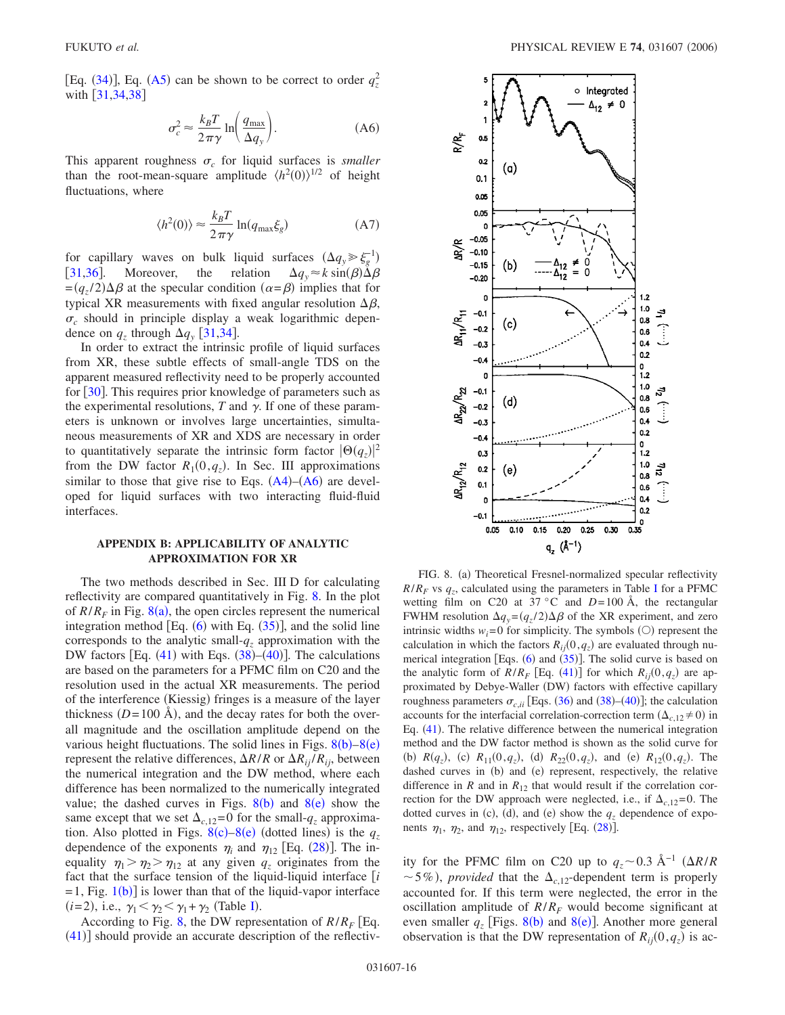<span id="page-15-0"></span>[Eq.  $(34)$  $(34)$  $(34)$ ], Eq.  $(A5)$  $(A5)$  $(A5)$  can be shown to be correct to order  $q_z^2$ with  $\left[ 31, 34, 38 \right]$  $\left[ 31, 34, 38 \right]$  $\left[ 31, 34, 38 \right]$ 

$$
\sigma_c^2 \approx \frac{k_B T}{2\pi\gamma} \ln\left(\frac{q_{\text{max}}}{\Delta q_y}\right). \tag{A6}
$$

This apparent roughness  $\sigma_c$  for liquid surfaces is *smaller* than the root-mean-square amplitude  $\langle h^2(0) \rangle^{1/2}$  of height fluctuations, where

$$
\langle h^2(0) \rangle \approx \frac{k_B T}{2\pi \gamma} \ln(q_{\text{max}} \xi_g) \tag{A7}
$$

<span id="page-15-1"></span>for capillary waves on bulk liquid surfaces  $(\Delta q_y \gg \xi_g^{-1})$ [[31](#page-17-17)[,36](#page-17-16)]. Moreover, the relation  $\Delta q_y \approx k \sin(\beta) \tilde{\Delta} \beta$  $=(q_z/2)\Delta\beta$  at the specular condition  $(\alpha = \beta)$  implies that for typical XR measurements with fixed angular resolution  $\Delta \beta$ ,  $\sigma_c$  should in principle display a weak logarithmic dependence on  $q_z$  through  $\Delta q_y$  [[31](#page-17-17)[,34](#page-17-14)].

In order to extract the intrinsic profile of liquid surfaces from XR, these subtle effects of small-angle TDS on the apparent measured reflectivity need to be properly accounted for  $\left[30\right]$  $\left[30\right]$  $\left[30\right]$ . This requires prior knowledge of parameters such as the experimental resolutions,  $T$  and  $\gamma$ . If one of these parameters is unknown or involves large uncertainties, simultaneous measurements of XR and XDS are necessary in order to quantitatively separate the intrinsic form factor  $|\Theta(q_z)|^2$ from the DW factor  $R_1(0, q_z)$ . In Sec. III approximations similar to those that give rise to Eqs.  $(A4)$  $(A4)$  $(A4)$ – $(A6)$  $(A6)$  $(A6)$  are developed for liquid surfaces with two interacting fluid-fluid interfaces.

### **APPENDIX B: APPLICABILITY OF ANALYTIC APPROXIMATION FOR XR**

The two methods described in Sec. III D for calculating reflectivity are compared quantitatively in Fig. [8.](#page-15-2) In the plot of  $R/R_F$  in Fig.  $8(a)$  $8(a)$ , the open circles represent the numerical integration method  $[Eq. (6)$  $[Eq. (6)$  $[Eq. (6)$  with Eq.  $(35)]$  $(35)]$  $(35)]$ , and the solid line corresponds to the analytic small- $q<sub>z</sub>$  approximation with the DW factors [Eq.  $(41)$  $(41)$  $(41)$  with Eqs.  $(38)$  $(38)$  $(38)$ – $(40)$  $(40)$  $(40)$ ]. The calculations are based on the parameters for a PFMC film on C20 and the resolution used in the actual XR measurements. The period of the interference (Kiessig) fringes is a measure of the layer thickness  $(D=100 \text{ Å})$ , and the decay rates for both the overall magnitude and the oscillation amplitude depend on the various height fluctuations. The solid lines in Figs.  $8(b)-8(e)$  $8(b)-8(e)$ represent the relative differences,  $\Delta R/R$  or  $\Delta R_{ii}/R_{ii}$ , between the numerical integration and the DW method, where each difference has been normalized to the numerically integrated value; the dashed curves in Figs.  $8(b)$  $8(b)$  and  $8(e)$  show the same except that we set  $\Delta_{c,12}=0$  for the small- $q_z$  approximation. Also plotted in Figs.  $8(c) - 8(e)$  $8(c) - 8(e)$  (dotted lines) is the  $q_z$ dependence of the exponents  $\eta_i$  and  $\eta_{12}$  [Eq. ([28](#page-6-6))]. The inequality  $\eta_1 > \eta_2 > \eta_{12}$  at any given  $q_z$  originates from the fact that the surface tension of the liquid-liquid interface *i*  $=$  [1](#page-1-0), Fig. 1(b)] is lower than that of the liquid-vapor interface  $(i=2)$ , i.e.,  $\gamma_1 < \gamma_2 < \gamma_1 + \gamma_2$  (Table [I](#page-6-0)).

According to Fig. [8,](#page-15-2) the DW representation of  $R/R_F$  [Eq.  $(41)$  $(41)$  $(41)$ ] should provide an accurate description of the reflectiv-

<span id="page-15-2"></span>

FIG. 8. (a) Theoretical Fresnel-normalized specular reflectivity  $R/R_F$  vs  $q_z$ , calculated using the parameters in Table [I](#page-6-0) for a PFMC wetting film on C20 at 37 °C and  $D=100 \text{ Å}$ , the rectangular FWHM resolution  $\Delta q_y = (q_z/2) \Delta \beta$  of the XR experiment, and zero intrinsic widths  $w_i = 0$  for simplicity. The symbols  $(O)$  represent the calculation in which the factors  $R_{ij}(0, q_z)$  are evaluated through numerical integration [Eqs.  $(6)$  $(6)$  $(6)$  and  $(35)$  $(35)$  $(35)$ ]. The solid curve is based on the analytic form of  $R/R_F$  [Eq. ([41](#page-8-0))] for which  $R_{ij}(0, q_z)$  are approximated by Debye-Waller (DW) factors with effective capillary roughness parameters  $\sigma_{c,ii}$  [Eqs.  $(36)$  $(36)$  $(36)$  and  $(38)$  $(38)$  $(38)$ – $(40)$  $(40)$  $(40)$ ]; the calculation accounts for the interfacial correlation-correction term  $(\Delta_{c,12} \neq 0)$  in Eq. ([41](#page-8-0)). The relative difference between the numerical integration method and the DW factor method is shown as the solid curve for (b)  $R(q_z)$ , (c)  $R_{11}(0, q_z)$ , (d)  $R_{22}(0, q_z)$ , and (e)  $R_{12}(0, q_z)$ . The dashed curves in (b) and (e) represent, respectively, the relative difference in *R* and in  $R_{12}$  that would result if the correlation correction for the DW approach were neglected, i.e., if  $\Delta_{c,12}=0$ . The dotted curves in (c), (d), and (e) show the  $q<sub>z</sub>$  dependence of exponents  $\eta_1$ ,  $\eta_2$ , and  $\eta_{12}$ , respectively [Eq. ([28](#page-6-6))].

ity for the PFMC film on C20 up to  $q_z \sim 0.3 \text{ Å}^{-1}$  ( $\Delta R/R$ )  $\sim$  5%), *provided* that the  $\Delta_{c,12}$ -dependent term is properly accounted for. If this term were neglected, the error in the oscillation amplitude of  $R/R_F$  would become significant at even smaller  $q_z$  [Figs. [8](#page-15-2)(b) and 8(e)]. Another more general observation is that the DW representation of  $R_{ij}(0, q_z)$  is ac-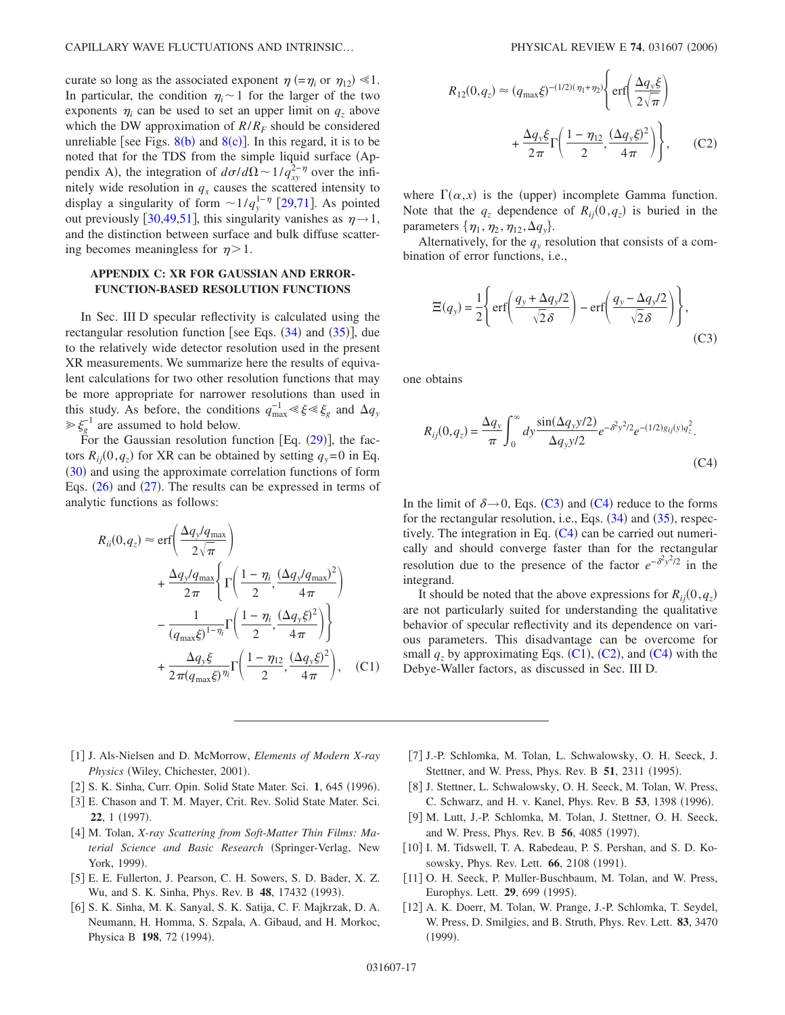curate so long as the associated exponent  $\eta$  (= $\eta_i$  or  $\eta_{12}$ )  $\leq 1$ . In particular, the condition  $\eta_i \sim 1$  for the larger of the two exponents  $\eta_i$  can be used to set an upper limit on  $q_z$  above which the DW approximation of  $R/R_F$  should be considered unreliable [see Figs.  $8(b)$  $8(b)$  and  $8(c)$ ]. In this regard, it is to be noted that for the TDS from the simple liquid surface (Appendix A), the integration of  $d\sigma/d\Omega \sim 1/q_{xy}^{2-\eta}$  over the infinitely wide resolution in  $q_x$  causes the scattered intensity to display a singularity of form  $\sim 1/q_y^{1-\eta}$  [[29](#page-17-13)[,71](#page-17-52)]. As pointed out previously [[30,](#page-17-12)[49,](#page-17-54)[51](#page-17-26)], this singularity vanishes as  $\eta \rightarrow 1$ , and the distinction between surface and bulk diffuse scattering becomes meaningless for  $\eta > 1$ .

# **APPENDIX C: XR FOR GAUSSIAN AND ERROR-FUNCTION-BASED RESOLUTION FUNCTIONS**

In Sec. III D specular reflectivity is calculated using the rectangular resolution function [see Eqs.  $(34)$  $(34)$  $(34)$  and  $(35)$  $(35)$  $(35)$ ], due to the relatively wide detector resolution used in the present XR measurements. We summarize here the results of equivalent calculations for two other resolution functions that may be more appropriate for narrower resolutions than used in this study. As before, the conditions  $q_{\text{max}}^{-1} \ll \xi \ll \xi_g$  and  $\Delta q_y$  $\gg \xi_g^{-1}$  are assumed to hold below.

For the Gaussian resolution function  $[Eq. (29)]$  $[Eq. (29)]$  $[Eq. (29)]$ , the factors  $R_{ij}(0, q_z)$  for XR can be obtained by setting  $q_y=0$  in Eq. ([30](#page-6-5)) and using the approximate correlation functions of form Eqs.  $(26)$  $(26)$  $(26)$  and  $(27)$  $(27)$  $(27)$ . The results can be expressed in terms of analytic functions as follows:

<span id="page-16-8"></span>
$$
R_{ii}(0, q_z) \approx \text{erf}\left(\frac{\Delta q_y/q_{\text{max}}}{2\sqrt{\pi}}\right)
$$
  
+ 
$$
\frac{\Delta q_y/q_{\text{max}}}{2\pi} \left\{\Gamma\left(\frac{1-\eta_i}{2}, \frac{(\Delta q_y/q_{\text{max}})^2}{4\pi}\right) - \frac{1}{(q_{\text{max}}\xi)^{1-\eta_i}}\Gamma\left(\frac{1-\eta_i}{2}, \frac{(\Delta q_y\xi)^2}{4\pi}\right)\right\}
$$
  
+ 
$$
\frac{\Delta q_y\xi}{2\pi(q_{\text{max}}\xi)^{\eta_i}}\Gamma\left(\frac{1-\eta_{12}}{2}, \frac{(\Delta q_y\xi)^2}{4\pi}\right), \quad \text{(C1)}
$$

<span id="page-16-9"></span>
$$
R_{12}(0, q_z) \approx (q_{\text{max}}\xi)^{-(1/2)(\eta_1 + \eta_2)} \left\{ \text{erf}\left(\frac{\Delta q_y \xi}{2\sqrt{\pi}}\right) + \frac{\Delta q_y \xi}{2\pi} \Gamma\left(\frac{1 - \eta_{12}}{2}, \frac{(\Delta q_y \xi)^2}{4\pi}\right) \right\},
$$
 (C2)

where  $\Gamma(\alpha, x)$  is the (upper) incomplete Gamma function. Note that the  $q_z$  dependence of  $R_{ij}(0, q_z)$  is buried in the parameters  $\{\eta_1, \eta_2, \eta_{12}, \Delta q_{y}\}.$ 

Alternatively, for the  $q<sub>y</sub>$  resolution that consists of a combination of error functions, i.e.,

<span id="page-16-6"></span>
$$
\Xi(q_y) = \frac{1}{2} \left\{ erf \left( \frac{q_y + \Delta q_y/2}{\sqrt{2} \delta} \right) - erf \left( \frac{q_y - \Delta q_y/2}{\sqrt{2} \delta} \right) \right\},
$$
\n(C3)

one obtains

<span id="page-16-7"></span>
$$
R_{ij}(0, q_z) = \frac{\Delta q_y}{\pi} \int_0^\infty dy \frac{\sin(\Delta q_y y/2)}{\Delta q_y y/2} e^{-\delta^2 y^2/2} e^{-(1/2)g_{ij}(y)q_z^2}.
$$
\n(C4)

In the limit of  $\delta \rightarrow 0$ , Eqs. ([C3](#page-16-6)) and ([C4](#page-16-7)) reduce to the forms for the rectangular resolution, i.e., Eqs.  $(34)$  $(34)$  $(34)$  and  $(35)$  $(35)$  $(35)$ , respectively. The integration in Eq.  $(C4)$  $(C4)$  $(C4)$  can be carried out numerically and should converge faster than for the rectangular resolution due to the presence of the factor  $e^{-\delta^2 y^2/2}$  in the integrand.

It should be noted that the above expressions for  $R_{ij}(0, q_z)$ are not particularly suited for understanding the qualitative behavior of specular reflectivity and its dependence on various parameters. This disadvantage can be overcome for small  $q_z$  by approximating Eqs. ([C1](#page-16-8)), ([C2](#page-16-9)), and ([C4](#page-16-7)) with the Debye-Waller factors, as discussed in Sec. III D.

- <span id="page-16-0"></span>1 J. Als-Nielsen and D. McMorrow, *Elements of Modern X-ray* Physics (Wiley, Chichester, 2001).
- [2] S. K. Sinha, Curr. Opin. Solid State Mater. Sci. 1, 645 (1996).
- 3 E. Chason and T. M. Mayer, Crit. Rev. Solid State Mater. Sci. **22**, 1 (1997).
- <span id="page-16-1"></span>[4] M. Tolan, *X-ray Scattering from Soft-Matter Thin Films: Material Science and Basic Research (Springer-Verlag, New* York, 1999).
- <span id="page-16-2"></span>5 E. E. Fullerton, J. Pearson, C. H. Sowers, S. D. Bader, X. Z. Wu, and S. K. Sinha, Phys. Rev. B 48, 17432 (1993).
- [6] S. K. Sinha, M. K. Sanyal, S. K. Satija, C. F. Majkrzak, D. A. Neumann, H. Homma, S. Szpala, A. Gibaud, and H. Morkoc, Physica B 198, 72 (1994).
- 7 J.-P. Schlomka, M. Tolan, L. Schwalowsky, O. H. Seeck, J. Stettner, and W. Press, Phys. Rev. B 51, 2311 (1995).
- [8] J. Stettner, L. Schwalowsky, O. H. Seeck, M. Tolan, W. Press, C. Schwarz, and H. v. Kanel, Phys. Rev. B 53, 1398 (1996).
- <span id="page-16-3"></span>[9] M. Lutt, J.-P. Schlomka, M. Tolan, J. Stettner, O. H. Seeck, and W. Press, Phys. Rev. B 56, 4085 (1997).
- <span id="page-16-4"></span>[10] I. M. Tidswell, T. A. Rabedeau, P. S. Pershan, and S. D. Kosowsky, Phys. Rev. Lett. **66**, 2108 (1991).
- [11] O. H. Seeck, P. Muller-Buschbaum, M. Tolan, and W. Press, Europhys. Lett. **29**, 699 (1995).
- <span id="page-16-5"></span>[12] A. K. Doerr, M. Tolan, W. Prange, J.-P. Schlomka, T. Seydel, W. Press, D. Smilgies, and B. Struth, Phys. Rev. Lett. **83**, 3470  $(1999).$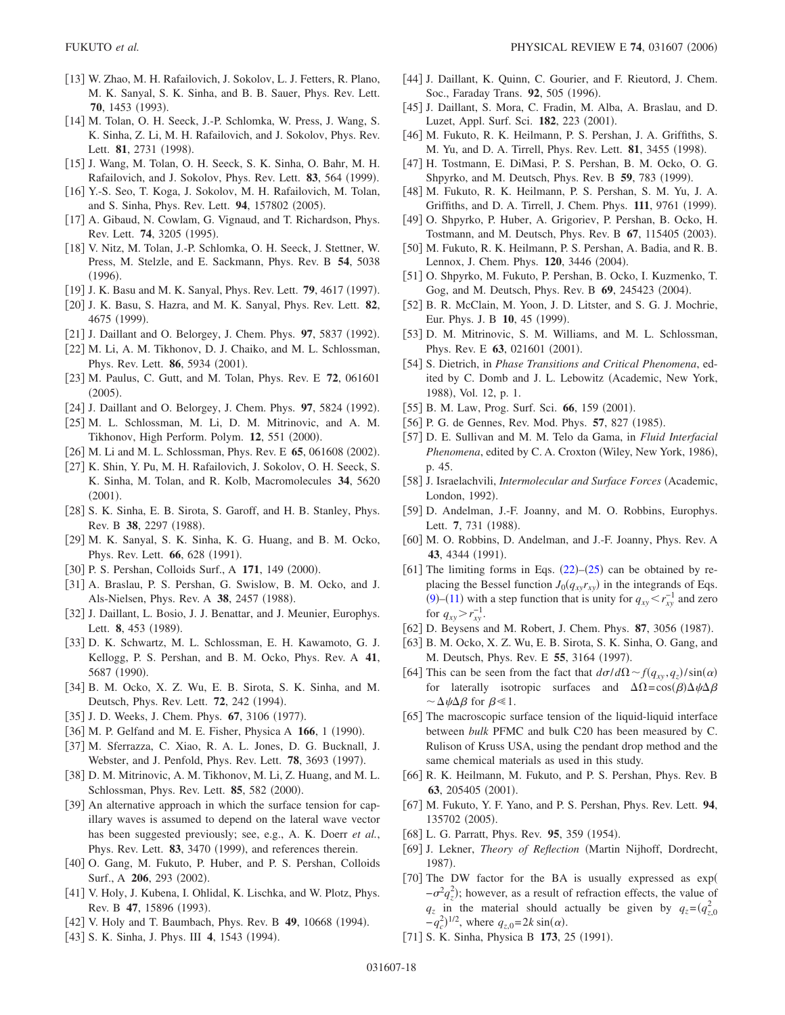- <span id="page-17-0"></span>13 W. Zhao, M. H. Rafailovich, J. Sokolov, L. J. Fetters, R. Plano, M. K. Sanyal, S. K. Sinha, and B. B. Sauer, Phys. Rev. Lett. 70, 1453 (1993).
- <span id="page-17-50"></span>[14] M. Tolan, O. H. Seeck, J.-P. Schlomka, W. Press, J. Wang, S. K. Sinha, Z. Li, M. H. Rafailovich, and J. Sokolov, Phys. Rev. Lett. 81, 2731 (1998).
- <span id="page-17-27"></span>15 J. Wang, M. Tolan, O. H. Seeck, S. K. Sinha, O. Bahr, M. H. Rafailovich, and J. Sokolov, Phys. Rev. Lett. 83, 564 (1999).
- <span id="page-17-1"></span>16 Y.-S. Seo, T. Koga, J. Sokolov, M. H. Rafailovich, M. Tolan, and S. Sinha, Phys. Rev. Lett. 94, 157802 (2005).
- <span id="page-17-2"></span>[17] A. Gibaud, N. Cowlam, G. Vignaud, and T. Richardson, Phys. Rev. Lett. **74**, 3205 (1995).
- 18 V. Nitz, M. Tolan, J.-P. Schlomka, O. H. Seeck, J. Stettner, W. Press, M. Stelzle, and E. Sackmann, Phys. Rev. B **54**, 5038  $(1996).$
- [19] J. K. Basu and M. K. Sanyal, Phys. Rev. Lett. **79**, 4617 (1997).
- <span id="page-17-3"></span>20 J. K. Basu, S. Hazra, and M. K. Sanyal, Phys. Rev. Lett. **82**, 4675 (1999).
- <span id="page-17-4"></span>[21] J. Daillant and O. Belorgey, J. Chem. Phys. 97, 5837 (1992).
- <span id="page-17-7"></span>[22] M. Li, A. M. Tikhonov, D. J. Chaiko, and M. L. Schlossman, Phys. Rev. Lett. **86**, 5934 (2001).
- <span id="page-17-5"></span>23 M. Paulus, C. Gutt, and M. Tolan, Phys. Rev. E **72**, 061601  $(2005).$
- <span id="page-17-6"></span>[24] J. Daillant and O. Belorgey, J. Chem. Phys. 97, 5824 (1992).
- <span id="page-17-8"></span>[25] M. L. Schlossman, M. Li, D. M. Mitrinovic, and A. M. Tikhonov, High Perform. Polym. 12, 551 (2000).
- <span id="page-17-9"></span>[26] M. Li and M. L. Schlossman, Phys. Rev. E **65**, 061608 (2002).
- <span id="page-17-10"></span>27 K. Shin, Y. Pu, M. H. Rafailovich, J. Sokolov, O. H. Seeck, S. K. Sinha, M. Tolan, and R. Kolb, Macromolecules **34**, 5620  $(2001).$
- <span id="page-17-11"></span>[28] S. K. Sinha, E. B. Sirota, S. Garoff, and H. B. Stanley, Phys. Rev. B 38, 2297 (1988).
- <span id="page-17-13"></span>[29] M. K. Sanyal, S. K. Sinha, K. G. Huang, and B. M. Ocko, Phys. Rev. Lett. **66**, 628 (1991).
- <span id="page-17-12"></span>[30] P. S. Pershan, Colloids Surf., A 171, 149 (2000).
- <span id="page-17-17"></span>[31] A. Braslau, P. S. Pershan, G. Swislow, B. M. Ocko, and J. Als-Nielsen, Phys. Rev. A 38, 2457 (1988).
- <span id="page-17-49"></span>[32] J. Daillant, L. Bosio, J. J. Benattar, and J. Meunier, Europhys. Lett. **8**, 453 (1989).
- <span id="page-17-18"></span>33 D. K. Schwartz, M. L. Schlossman, E. H. Kawamoto, G. J. Kellogg, P. S. Pershan, and B. M. Ocko, Phys. Rev. A **41**, 5687 (1990).
- <span id="page-17-14"></span>[34] B. M. Ocko, X. Z. Wu, E. B. Sirota, S. K. Sinha, and M. Deutsch, Phys. Rev. Lett. **72**, 242 (1994).
- <span id="page-17-15"></span>[35] J. D. Weeks, J. Chem. Phys. **67**, 3106 (1977).
- <span id="page-17-16"></span>[36] M. P. Gelfand and M. E. Fisher, Physica A 166, 1 (1990).
- <span id="page-17-19"></span>[37] M. Sferrazza, C. Xiao, R. A. L. Jones, D. G. Bucknall, J. Webster, and J. Penfold, Phys. Rev. Lett. **78**, 3693 (1997).
- <span id="page-17-22"></span>[38] D. M. Mitrinovic, A. M. Tikhonov, M. Li, Z. Huang, and M. L. Schlossman, Phys. Rev. Lett. **85**, 582 (2000).
- <span id="page-17-20"></span>[39] An alternative approach in which the surface tension for capillary waves is assumed to depend on the lateral wave vector has been suggested previously; see, e.g., A. K. Doerr *et al.*, Phys. Rev. Lett. 83, 3470 (1999), and references therein.
- <span id="page-17-21"></span>[40] O. Gang, M. Fukuto, P. Huber, and P. S. Pershan, Colloids Surf., A 206, 293 (2002).
- <span id="page-17-23"></span>[41] V. Holy, J. Kubena, I. Ohlidal, K. Lischka, and W. Plotz, Phys. Rev. B 47, 15896 (1993).
- [42] V. Holy and T. Baumbach, Phys. Rev. B **49**, 10668 (1994).
- [43] S. K. Sinha, J. Phys. III **4**, 1543 (1994).
- <span id="page-17-51"></span>[44] J. Daillant, K. Quinn, C. Gourier, and F. Rieutord, J. Chem. Soc., Faraday Trans. 92, 505 (1996).
- <span id="page-17-24"></span>[45] J. Daillant, S. Mora, C. Fradin, M. Alba, A. Braslau, and D. Luzet, Appl. Surf. Sci. 182, 223 (2001).
- <span id="page-17-25"></span>[46] M. Fukuto, R. K. Heilmann, P. S. Pershan, J. A. Griffiths, S. M. Yu, and D. A. Tirrell, Phys. Rev. Lett. **81**, 3455 (1998).
- <span id="page-17-53"></span>[47] H. Tostmann, E. DiMasi, P. S. Pershan, B. M. Ocko, O. G. Shpyrko, and M. Deutsch, Phys. Rev. B 59, 783 (1999).
- <span id="page-17-46"></span>[48] M. Fukuto, R. K. Heilmann, P. S. Pershan, S. M. Yu, J. A. Griffiths, and D. A. Tirrell, J. Chem. Phys. 111, 9761 (1999).
- <span id="page-17-54"></span>49 O. Shpyrko, P. Huber, A. Grigoriev, P. Pershan, B. Ocko, H. Tostmann, and M. Deutsch, Phys. Rev. B 67, 115405 (2003).
- <span id="page-17-47"></span>50 M. Fukuto, R. K. Heilmann, P. S. Pershan, A. Badia, and R. B. Lennox, J. Chem. Phys. 120, 3446 (2004).
- <span id="page-17-26"></span>[51] O. Shpyrko, M. Fukuto, P. Pershan, B. Ocko, I. Kuzmenko, T. Gog, and M. Deutsch, Phys. Rev. B 69, 245423 (2004).
- <span id="page-17-28"></span>[52] B. R. McClain, M. Yoon, J. D. Litster, and S. G. J. Mochrie, Eur. Phys. J. B 10, 45 (1999).
- <span id="page-17-29"></span>[53] D. M. Mitrinovic, S. M. Williams, and M. L. Schlossman, Phys. Rev. E 63, 021601 (2001).
- <span id="page-17-30"></span>54 S. Dietrich, in *Phase Transitions and Critical Phenomena*, edited by C. Domb and J. L. Lebowitz (Academic, New York, 1988), Vol. 12, p. 1.
- <span id="page-17-31"></span>[55] B. M. Law, Prog. Surf. Sci. 66, 159 (2001).
- <span id="page-17-32"></span>[56] P. G. de Gennes, Rev. Mod. Phys. 57, 827 (1985).
- <span id="page-17-33"></span>57 D. E. Sullivan and M. M. Telo da Gama, in *Fluid Interfacial* Phenomena, edited by C. A. Croxton (Wiley, New York, 1986), p. 45.
- <span id="page-17-34"></span>58 J. Israelachvili, *Intermolecular and Surface Forces* Academic, London, 1992).
- <span id="page-17-36"></span>[59] D. Andelman, J.-F. Joanny, and M. O. Robbins, Europhys. Lett. 7, 731 (1988).
- <span id="page-17-35"></span>[60] M. O. Robbins, D. Andelman, and J.-F. Joanny, Phys. Rev. A 43, 4344 (1991).
- <span id="page-17-37"></span>[61] The limiting forms in Eqs.  $(22)$  $(22)$  $(22)$ – $(25)$  $(25)$  $(25)$  can be obtained by replacing the Bessel function  $J_0(q_{xy}r_{xy})$  in the integrands of Eqs. ([9](#page-3-0))–([11](#page-3-1)) with a step function that is unity for  $q_{xy} < r_{xy}^{-1}$  and zero for  $q_{xy} > r_{xy}^{-1}$ .
- <span id="page-17-40"></span>[62] D. Beysens and M. Robert, J. Chem. Phys. 87, 3056 (1987).
- <span id="page-17-41"></span>[63] B. M. Ocko, X. Z. Wu, E. B. Sirota, S. K. Sinha, O. Gang, and M. Deutsch, Phys. Rev. E 55, 3164 (1997).
- <span id="page-17-42"></span>[64] This can be seen from the fact that  $d\sigma/d\Omega \sim f(q_{xy}, q_z)/\sin(\alpha)$ for laterally isotropic surfaces and  $\Delta \Omega = \cos(\beta) \Delta \psi \Delta \beta$  $\sim \Delta \psi \Delta \beta$  for  $\beta \ll 1$ .
- <span id="page-17-39"></span>[65] The macroscopic surface tension of the liquid-liquid interface between *bulk* PFMC and bulk C20 has been measured by C. Rulison of Kruss USA, using the pendant drop method and the same chemical materials as used in this study.
- <span id="page-17-38"></span>[66] R. K. Heilmann, M. Fukuto, and P. S. Pershan, Phys. Rev. B 63, 205405 (2001).
- <span id="page-17-43"></span>67 M. Fukuto, Y. F. Yano, and P. S. Pershan, Phys. Rev. Lett. **94**, 135702 (2005).
- <span id="page-17-44"></span>[68] L. G. Parratt, Phys. Rev. 95, 359 (1954).
- <span id="page-17-45"></span>69 J. Lekner, *Theory of Reflection* Martin Nijhoff, Dordrecht, 1987).
- <span id="page-17-48"></span>[70] The DW factor for the BA is usually expressed as exp(  $-\sigma^2 q_z^2$ ); however, as a result of refraction effects, the value of  $q_z$  in the material should actually be given by  $q_z = (q_{z,0}^2)$  $-q_c^2$ <sup>1/2</sup>, where  $q_{z,0} = 2k \sin(\alpha)$ .
- <span id="page-17-52"></span>[71] S. K. Sinha, Physica B 173, 25 (1991).